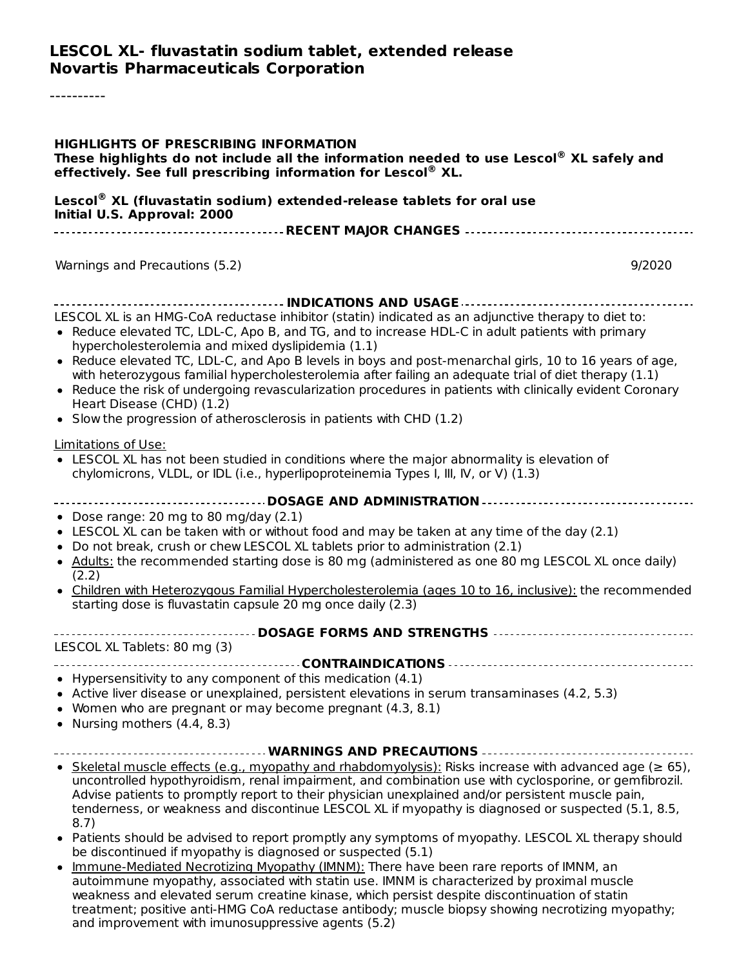#### **LESCOL XL- fluvastatin sodium tablet, extended release Novartis Pharmaceuticals Corporation**

----------

| <b>HIGHLIGHTS OF PRESCRIBING INFORMATION</b><br>These highlights do not include all the information needed to use Lescol® XL safely and<br>effectively. See full prescribing information for Lescol® XL.                                                                                                                                                                                                                                                                                                                                                                                                             |
|----------------------------------------------------------------------------------------------------------------------------------------------------------------------------------------------------------------------------------------------------------------------------------------------------------------------------------------------------------------------------------------------------------------------------------------------------------------------------------------------------------------------------------------------------------------------------------------------------------------------|
| Lescol® XL (fluvastatin sodium) extended-release tablets for oral use<br>Initial U.S. Approval: 2000                                                                                                                                                                                                                                                                                                                                                                                                                                                                                                                 |
|                                                                                                                                                                                                                                                                                                                                                                                                                                                                                                                                                                                                                      |
| Warnings and Precautions (5.2)<br>9/2020                                                                                                                                                                                                                                                                                                                                                                                                                                                                                                                                                                             |
| LESCOL XL is an HMG-CoA reductase inhibitor (statin) indicated as an adjunctive therapy to diet to:<br>• Reduce elevated TC, LDL-C, Apo B, and TG, and to increase HDL-C in adult patients with primary<br>hypercholesterolemia and mixed dyslipidemia (1.1)                                                                                                                                                                                                                                                                                                                                                         |
| • Reduce elevated TC, LDL-C, and Apo B levels in boys and post-menarchal girls, 10 to 16 years of age,<br>with heterozygous familial hypercholesterolemia after failing an adequate trial of diet therapy (1.1)<br>• Reduce the risk of undergoing revascularization procedures in patients with clinically evident Coronary<br>Heart Disease (CHD) (1.2)<br>• Slow the progression of atherosclerosis in patients with CHD (1.2)                                                                                                                                                                                    |
| Limitations of Use:<br>• LESCOL XL has not been studied in conditions where the major abnormality is elevation of<br>chylomicrons, VLDL, or IDL (i.e., hyperlipoproteinemia Types I, III, IV, or V) (1.3)                                                                                                                                                                                                                                                                                                                                                                                                            |
| ------------------------------------- DOSAGE AND ADMINISTRATION -----------------------------------<br>• Dose range: 20 mg to 80 mg/day (2.1)<br>• LESCOL XL can be taken with or without food and may be taken at any time of the day (2.1)<br>• Do not break, crush or chew LESCOL XL tablets prior to administration (2.1)<br>• Adults: the recommended starting dose is 80 mg (administered as one 80 mg LESCOL XL once daily)<br>(2.2)<br>• Children with Heterozygous Familial Hypercholesterolemia (ages 10 to 16, inclusive): the recommended<br>starting dose is fluvastatin capsule 20 mg once daily (2.3) |
| ------------------------------- DOSAGE FORMS AND STRENGTHS -----------------------------------<br>LESCOL XL Tablets: 80 mg (3)                                                                                                                                                                                                                                                                                                                                                                                                                                                                                       |
| • Hypersensitivity to any component of this medication (4.1)<br>• Active liver disease or unexplained, persistent elevations in serum transaminases (4.2, 5.3)<br>• Women who are pregnant or may become pregnant (4.3, 8.1)<br>• Nursing mothers $(4.4, 8.3)$                                                                                                                                                                                                                                                                                                                                                       |
| WARNINGS AND PRECAUTIONS                                                                                                                                                                                                                                                                                                                                                                                                                                                                                                                                                                                             |
| • Skeletal muscle effects (e.g., myopathy and rhabdomyolysis): Risks increase with advanced age ( $\geq 65$ ),<br>uncontrolled hypothyroidism, renal impairment, and combination use with cyclosporine, or gemfibrozil.<br>Advise patients to promptly report to their physician unexplained and/or persistent muscle pain,<br>tenderness, or weakness and discontinue LESCOL XL if myopathy is diagnosed or suspected (5.1, 8.5,<br>8.7)                                                                                                                                                                            |
| • Patients should be advised to report promptly any symptoms of myopathy. LESCOL XL therapy should<br>be discontinued if myopathy is diagnosed or suspected (5.1)                                                                                                                                                                                                                                                                                                                                                                                                                                                    |
| Immune-Mediated Necrotizing Myopathy (IMNM): There have been rare reports of IMNM, an<br>autoimmune myopathy, associated with statin use. IMNM is characterized by proximal muscle<br>weakness and elevated serum creatine kinase, which persist despite discontinuation of statin<br>treatment; positive anti-HMG CoA reductase antibody; muscle biopsy showing necrotizing myopathy;                                                                                                                                                                                                                               |

and improvement with imunosuppressive agents (5.2)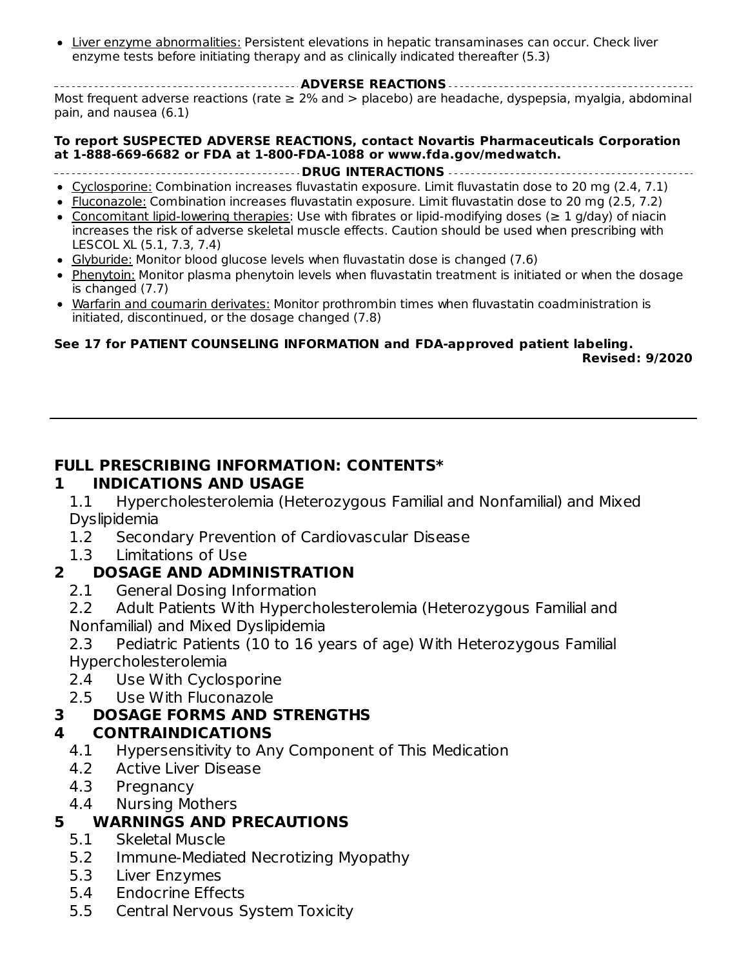Liver enzyme abnormalities: Persistent elevations in hepatic transaminases can occur. Check liver enzyme tests before initiating therapy and as clinically indicated thereafter (5.3)

**ADVERSE REACTIONS** Most frequent adverse reactions (rate ≥ 2% and > placebo) are headache, dyspepsia, myalgia, abdominal pain, and nausea (6.1)

#### **To report SUSPECTED ADVERSE REACTIONS, contact Novartis Pharmaceuticals Corporation at 1-888-669-6682 or FDA at 1-800-FDA-1088 or www.fda.gov/medwatch.**

- **DRUG INTERACTIONS**
- Cyclosporine: Combination increases fluvastatin exposure. Limit fluvastatin dose to 20 mg (2.4, 7.1)
- Fluconazole: Combination increases fluvastatin exposure. Limit fluvastatin dose to 20 mg (2.5, 7.2)
- Concomitant lipid-lowering therapies: Use with fibrates or lipid-modifying doses (≥ 1 g/day) of niacin increases the risk of adverse skeletal muscle effects. Caution should be used when prescribing with LESCOL XL (5.1, 7.3, 7.4)
- Glyburide: Monitor blood glucose levels when fluvastatin dose is changed (7.6)
- Phenytoin: Monitor plasma phenytoin levels when fluvastatin treatment is initiated or when the dosage is changed (7.7)
- Warfarin and coumarin derivates: Monitor prothrombin times when fluvastatin coadministration is initiated, discontinued, or the dosage changed (7.8)

#### **See 17 for PATIENT COUNSELING INFORMATION and FDA-approved patient labeling. Revised: 9/2020**

#### **FULL PRESCRIBING INFORMATION: CONTENTS\***

#### **1 INDICATIONS AND USAGE**

1.1 Hypercholesterolemia (Heterozygous Familial and Nonfamilial) and Mixed Dyslipidemia

- 1.2 Secondary Prevention of Cardiovascular Disease
- 1.3 Limitations of Use

#### **2 DOSAGE AND ADMINISTRATION**

- 2.1 General Dosing Information
- 2.2 Adult Patients With Hypercholesterolemia (Heterozygous Familial and Nonfamilial) and Mixed Dyslipidemia
- 2.3 Pediatric Patients (10 to 16 years of age) With Heterozygous Familial Hypercholesterolemia
- 2.4 Use With Cyclosporine
- 2.5 Use With Fluconazole

#### **3 DOSAGE FORMS AND STRENGTHS**

#### **4 CONTRAINDICATIONS**

- 4.1 Hypersensitivity to Any Component of This Medication
- 4.2 Active Liver Disease
- 4.3 Pregnancy
- 4.4 Nursing Mothers

#### **5 WARNINGS AND PRECAUTIONS**

- 5.1 Skeletal Muscle
- 5.2 Immune-Mediated Necrotizing Myopathy
- 5.3 Liver Enzymes
- 5.4 Endocrine Effects
- 5.5 Central Nervous System Toxicity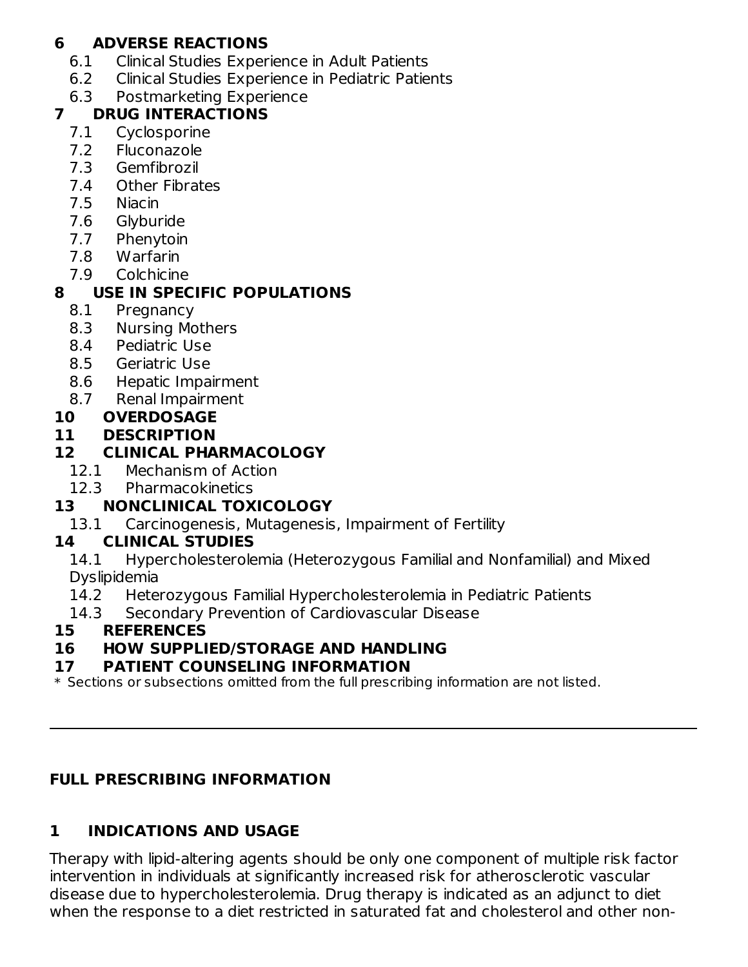#### **6 ADVERSE REACTIONS**

- 6.1 Clinical Studies Experience in Adult Patients
- 6.2 Clinical Studies Experience in Pediatric Patients
- 6.3 Postmarketing Experience

#### **7 DRUG INTERACTIONS**

- 7.1 Cyclosporine
- 7.2 Fluconazole
- 7.3 Gemfibrozil
- 7.4 Other Fibrates
- 7.5 Niacin
- 7.6 Glyburide
- 7.7 Phenytoin
- 7.8 Warfarin
- 7.9 Colchicine

# **8 USE IN SPECIFIC POPULATIONS**

- 8.1 Pregnancy
- 8.3 Nursing Mothers
- 8.4 Pediatric Use
- 8.5 Geriatric Use
- 8.6 Hepatic Impairment
- 8.7 Renal Impairment

#### **10 OVERDOSAGE**

#### **11 DESCRIPTION**

#### **12 CLINICAL PHARMACOLOGY**

- 12.1 Mechanism of Action
- 12.3 Pharmacokinetics

## **13 NONCLINICAL TOXICOLOGY**

13.1 Carcinogenesis, Mutagenesis, Impairment of Fertility

#### **14 CLINICAL STUDIES**

14.1 Hypercholesterolemia (Heterozygous Familial and Nonfamilial) and Mixed Dyslipidemia

- 14.2 Heterozygous Familial Hypercholesterolemia in Pediatric Patients
- 14.3 Secondary Prevention of Cardiovascular Disease

#### **15 REFERENCES**

#### **16 HOW SUPPLIED/STORAGE AND HANDLING**

#### **17 PATIENT COUNSELING INFORMATION**

 $\ast$  Sections or subsections omitted from the full prescribing information are not listed.

## **FULL PRESCRIBING INFORMATION**

# **1 INDICATIONS AND USAGE**

Therapy with lipid-altering agents should be only one component of multiple risk factor intervention in individuals at significantly increased risk for atherosclerotic vascular disease due to hypercholesterolemia. Drug therapy is indicated as an adjunct to diet when the response to a diet restricted in saturated fat and cholesterol and other non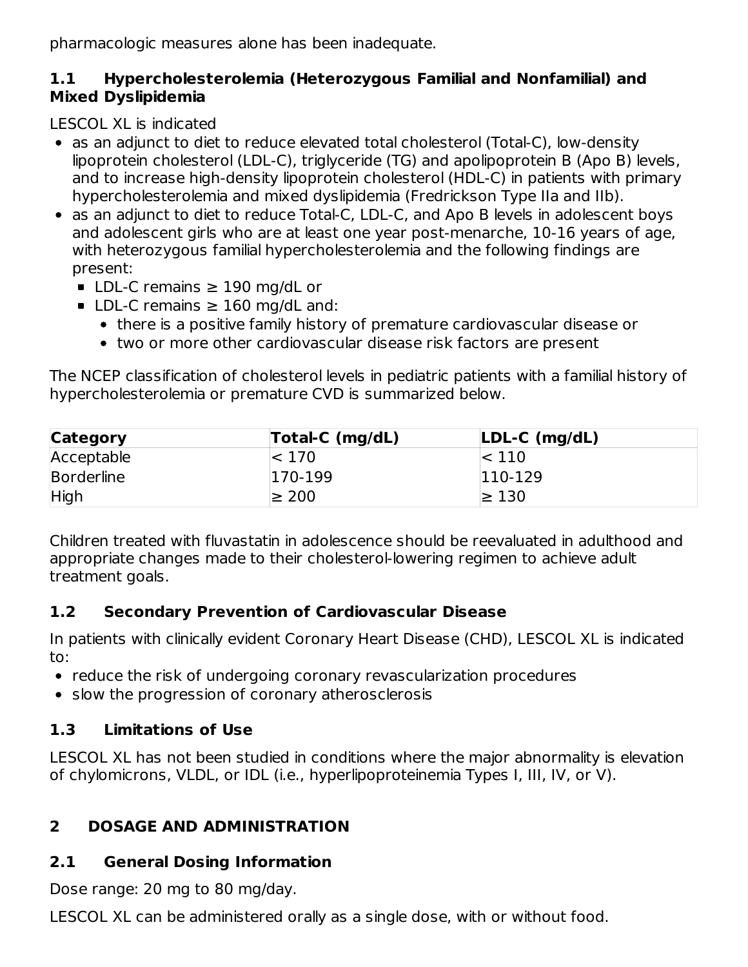pharmacologic measures alone has been inadequate.

#### **1.1 Hypercholesterolemia (Heterozygous Familial and Nonfamilial) and Mixed Dyslipidemia**

LESCOL XL is indicated

- as an adjunct to diet to reduce elevated total cholesterol (Total-C), low-density lipoprotein cholesterol (LDL-C), triglyceride (TG) and apolipoprotein B (Apo B) levels, and to increase high-density lipoprotein cholesterol (HDL-C) in patients with primary hypercholesterolemia and mixed dyslipidemia (Fredrickson Type IIa and IIb).
- as an adjunct to diet to reduce Total-C, LDL-C, and Apo B levels in adolescent boys and adolescent girls who are at least one year post-menarche, 10-16 years of age, with heterozygous familial hypercholesterolemia and the following findings are present:
	- LDL-C remains  $\geq$  190 mg/dL or
	- LDL-C remains  $\geq$  160 mg/dL and:
		- there is a positive family history of premature cardiovascular disease or
		- two or more other cardiovascular disease risk factors are present

The NCEP classification of cholesterol levels in pediatric patients with a familial history of hypercholesterolemia or premature CVD is summarized below.

| <b>Category</b>   | Total-C (mg/dL) | $LDL-C (mg/dL)$ |  |
|-------------------|-----------------|-----------------|--|
| Acceptable        | $\approx$ 170   | $\approx$ 110   |  |
| <b>Borderline</b> | 170-199         | $ 110-129$      |  |
| High              | $\geq 200$      | $\geq 130$      |  |

Children treated with fluvastatin in adolescence should be reevaluated in adulthood and appropriate changes made to their cholesterol-lowering regimen to achieve adult treatment goals.

# **1.2 Secondary Prevention of Cardiovascular Disease**

In patients with clinically evident Coronary Heart Disease (CHD), LESCOL XL is indicated to:

- reduce the risk of undergoing coronary revascularization procedures
- slow the progression of coronary atherosclerosis

# **1.3 Limitations of Use**

LESCOL XL has not been studied in conditions where the major abnormality is elevation of chylomicrons, VLDL, or IDL (i.e., hyperlipoproteinemia Types I, III, IV, or V).

# **2 DOSAGE AND ADMINISTRATION**

# **2.1 General Dosing Information**

Dose range: 20 mg to 80 mg/day.

LESCOL XL can be administered orally as a single dose, with or without food.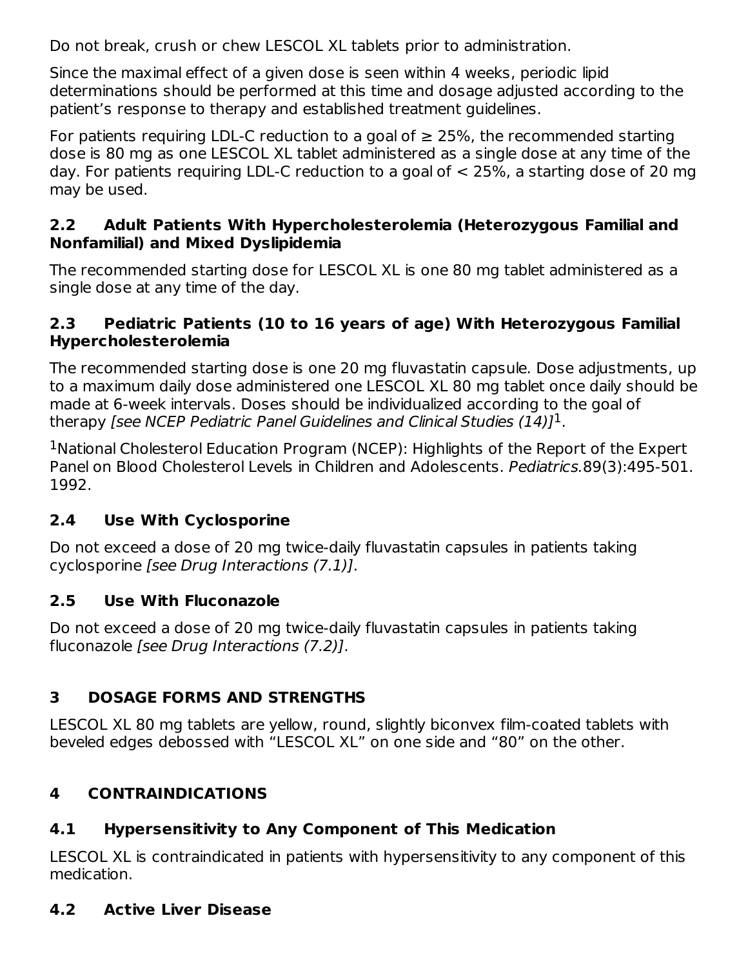Do not break, crush or chew LESCOL XL tablets prior to administration.

Since the maximal effect of a given dose is seen within 4 weeks, periodic lipid determinations should be performed at this time and dosage adjusted according to the patient's response to therapy and established treatment guidelines.

For patients requiring LDL-C reduction to a goal of  $\geq$  25%, the recommended starting dose is 80 mg as one LESCOL XL tablet administered as a single dose at any time of the day. For patients requiring LDL-C reduction to a goal of < 25%, a starting dose of 20 mg may be used.

#### **2.2 Adult Patients With Hypercholesterolemia (Heterozygous Familial and Nonfamilial) and Mixed Dyslipidemia**

The recommended starting dose for LESCOL XL is one 80 mg tablet administered as a single dose at any time of the day.

#### **2.3 Pediatric Patients (10 to 16 years of age) With Heterozygous Familial Hypercholesterolemia**

The recommended starting dose is one 20 mg fluvastatin capsule. Dose adjustments, up to a maximum daily dose administered one LESCOL XL 80 mg tablet once daily should be made at 6-week intervals. Doses should be individualized according to the goal of therapy [see NCEP Pediatric Panel Guidelines and Clinical Studies (14)] $^{\rm 1}.$ 

<sup>1</sup>National Cholesterol Education Program (NCEP): Highlights of the Report of the Expert Panel on Blood Cholesterol Levels in Children and Adolescents. Pediatrics.89(3):495-501. 1992.

## **2.4 Use With Cyclosporine**

Do not exceed a dose of 20 mg twice-daily fluvastatin capsules in patients taking cyclosporine [see Drug Interactions (7.1)].

#### **2.5 Use With Fluconazole**

Do not exceed a dose of 20 mg twice-daily fluvastatin capsules in patients taking fluconazole [see Drug Interactions (7.2)].

## **3 DOSAGE FORMS AND STRENGTHS**

LESCOL XL 80 mg tablets are yellow, round, slightly biconvex film-coated tablets with beveled edges debossed with "LESCOL XL" on one side and "80" on the other.

# **4 CONTRAINDICATIONS**

## **4.1 Hypersensitivity to Any Component of This Medication**

LESCOL XL is contraindicated in patients with hypersensitivity to any component of this medication.

## **4.2 Active Liver Disease**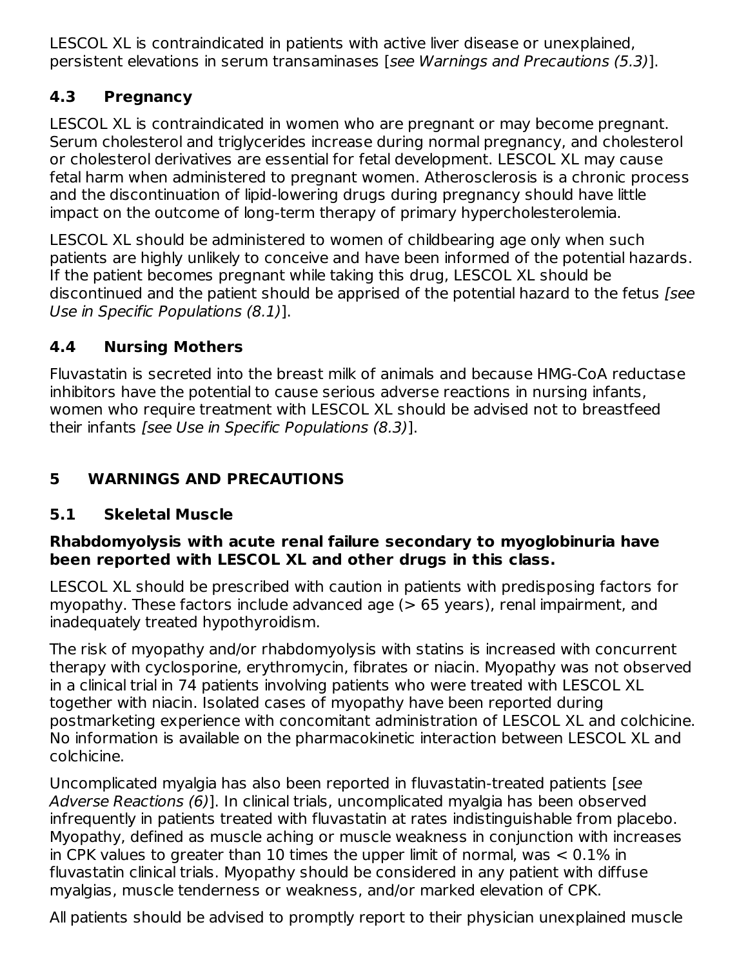LESCOL XL is contraindicated in patients with active liver disease or unexplained, persistent elevations in serum transaminases [see Warnings and Precautions (5.3)].

## **4.3 Pregnancy**

LESCOL XL is contraindicated in women who are pregnant or may become pregnant. Serum cholesterol and triglycerides increase during normal pregnancy, and cholesterol or cholesterol derivatives are essential for fetal development. LESCOL XL may cause fetal harm when administered to pregnant women. Atherosclerosis is a chronic process and the discontinuation of lipid-lowering drugs during pregnancy should have little impact on the outcome of long-term therapy of primary hypercholesterolemia.

LESCOL XL should be administered to women of childbearing age only when such patients are highly unlikely to conceive and have been informed of the potential hazards. If the patient becomes pregnant while taking this drug, LESCOL XL should be discontinued and the patient should be apprised of the potential hazard to the fetus [see Use in Specific Populations (8.1)].

# **4.4 Nursing Mothers**

Fluvastatin is secreted into the breast milk of animals and because HMG-CoA reductase inhibitors have the potential to cause serious adverse reactions in nursing infants, women who require treatment with LESCOL XL should be advised not to breastfeed their infants [see Use in Specific Populations (8.3)].

# **5 WARNINGS AND PRECAUTIONS**

# **5.1 Skeletal Muscle**

#### **Rhabdomyolysis with acute renal failure secondary to myoglobinuria have been reported with LESCOL XL and other drugs in this class.**

LESCOL XL should be prescribed with caution in patients with predisposing factors for myopathy. These factors include advanced age (> 65 years), renal impairment, and inadequately treated hypothyroidism.

The risk of myopathy and/or rhabdomyolysis with statins is increased with concurrent therapy with cyclosporine, erythromycin, fibrates or niacin. Myopathy was not observed in a clinical trial in 74 patients involving patients who were treated with LESCOL XL together with niacin. Isolated cases of myopathy have been reported during postmarketing experience with concomitant administration of LESCOL XL and colchicine. No information is available on the pharmacokinetic interaction between LESCOL XL and colchicine.

Uncomplicated myalgia has also been reported in fluvastatin-treated patients [see Adverse Reactions (6)]. In clinical trials, uncomplicated myalgia has been observed infrequently in patients treated with fluvastatin at rates indistinguishable from placebo. Myopathy, defined as muscle aching or muscle weakness in conjunction with increases in CPK values to greater than 10 times the upper limit of normal, was < 0.1% in fluvastatin clinical trials. Myopathy should be considered in any patient with diffuse myalgias, muscle tenderness or weakness, and/or marked elevation of CPK.

All patients should be advised to promptly report to their physician unexplained muscle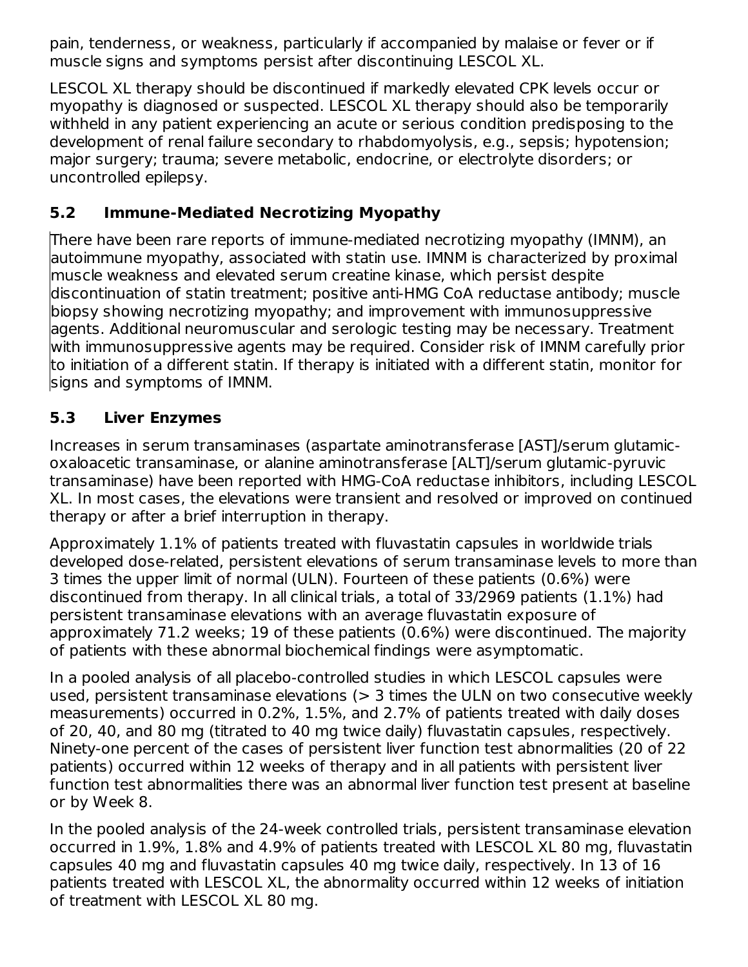pain, tenderness, or weakness, particularly if accompanied by malaise or fever or if muscle signs and symptoms persist after discontinuing LESCOL XL.

LESCOL XL therapy should be discontinued if markedly elevated CPK levels occur or myopathy is diagnosed or suspected. LESCOL XL therapy should also be temporarily withheld in any patient experiencing an acute or serious condition predisposing to the development of renal failure secondary to rhabdomyolysis, e.g., sepsis; hypotension; major surgery; trauma; severe metabolic, endocrine, or electrolyte disorders; or uncontrolled epilepsy.

# **5.2 Immune-Mediated Necrotizing Myopathy**

There have been rare reports of immune-mediated necrotizing myopathy (IMNM), an autoimmune myopathy, associated with statin use. IMNM is characterized by proximal muscle weakness and elevated serum creatine kinase, which persist despite discontinuation of statin treatment; positive anti-HMG CoA reductase antibody; muscle biopsy showing necrotizing myopathy; and improvement with immunosuppressive agents. Additional neuromuscular and serologic testing may be necessary. Treatment with immunosuppressive agents may be required. Consider risk of IMNM carefully prior to initiation of a different statin. If therapy is initiated with a different statin, monitor for signs and symptoms of IMNM.

# **5.3 Liver Enzymes**

Increases in serum transaminases (aspartate aminotransferase [AST]/serum glutamicoxaloacetic transaminase, or alanine aminotransferase [ALT]/serum glutamic-pyruvic transaminase) have been reported with HMG-CoA reductase inhibitors, including LESCOL XL. In most cases, the elevations were transient and resolved or improved on continued therapy or after a brief interruption in therapy.

Approximately 1.1% of patients treated with fluvastatin capsules in worldwide trials developed dose-related, persistent elevations of serum transaminase levels to more than 3 times the upper limit of normal (ULN). Fourteen of these patients (0.6%) were discontinued from therapy. In all clinical trials, a total of 33/2969 patients (1.1%) had persistent transaminase elevations with an average fluvastatin exposure of approximately 71.2 weeks; 19 of these patients (0.6%) were discontinued. The majority of patients with these abnormal biochemical findings were asymptomatic.

In a pooled analysis of all placebo-controlled studies in which LESCOL capsules were used, persistent transaminase elevations  $(> 3$  times the ULN on two consecutive weekly measurements) occurred in 0.2%, 1.5%, and 2.7% of patients treated with daily doses of 20, 40, and 80 mg (titrated to 40 mg twice daily) fluvastatin capsules, respectively. Ninety-one percent of the cases of persistent liver function test abnormalities (20 of 22 patients) occurred within 12 weeks of therapy and in all patients with persistent liver function test abnormalities there was an abnormal liver function test present at baseline or by Week 8.

In the pooled analysis of the 24-week controlled trials, persistent transaminase elevation occurred in 1.9%, 1.8% and 4.9% of patients treated with LESCOL XL 80 mg, fluvastatin capsules 40 mg and fluvastatin capsules 40 mg twice daily, respectively. In 13 of 16 patients treated with LESCOL XL, the abnormality occurred within 12 weeks of initiation of treatment with LESCOL XL 80 mg.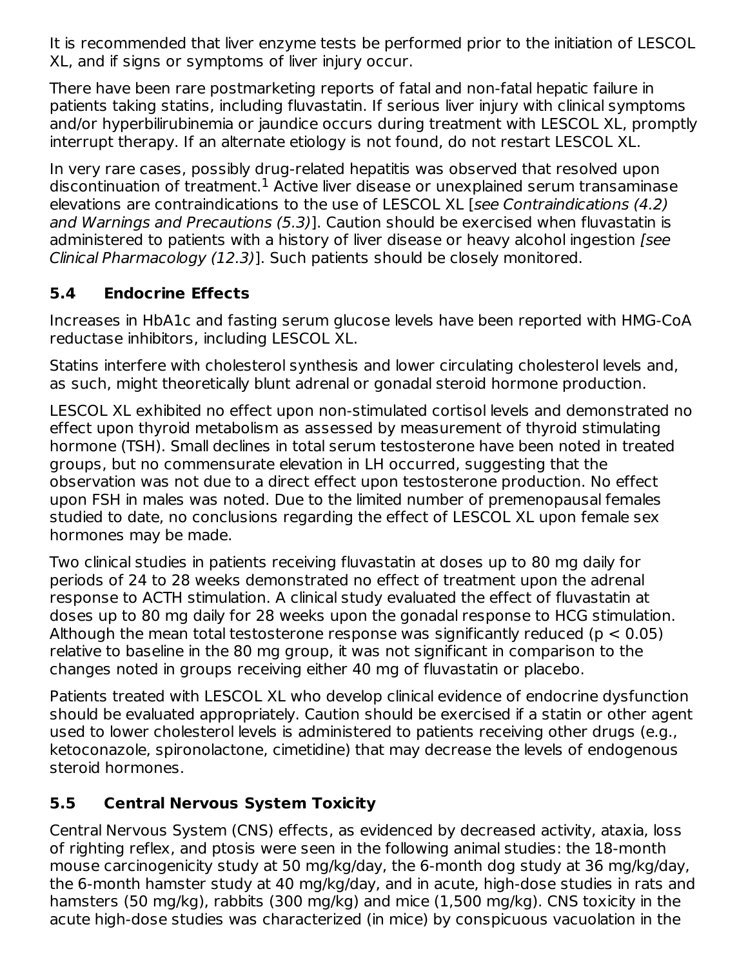It is recommended that liver enzyme tests be performed prior to the initiation of LESCOL XL, and if signs or symptoms of liver injury occur.

There have been rare postmarketing reports of fatal and non-fatal hepatic failure in patients taking statins, including fluvastatin. If serious liver injury with clinical symptoms and/or hyperbilirubinemia or jaundice occurs during treatment with LESCOL XL, promptly interrupt therapy. If an alternate etiology is not found, do not restart LESCOL XL.

In very rare cases, possibly drug-related hepatitis was observed that resolved upon discontinuation of treatment. $^1$  Active liver disease or unexplained serum transaminase elevations are contraindications to the use of LESCOL XL [see Contraindications (4.2) and Warnings and Precautions (5.3)]. Caution should be exercised when fluvastatin is administered to patients with a history of liver disease or heavy alcohol ingestion (see Clinical Pharmacology (12.3)]. Such patients should be closely monitored.

## **5.4 Endocrine Effects**

Increases in HbA1c and fasting serum glucose levels have been reported with HMG-CoA reductase inhibitors, including LESCOL XL.

Statins interfere with cholesterol synthesis and lower circulating cholesterol levels and, as such, might theoretically blunt adrenal or gonadal steroid hormone production.

LESCOL XL exhibited no effect upon non-stimulated cortisol levels and demonstrated no effect upon thyroid metabolism as assessed by measurement of thyroid stimulating hormone (TSH). Small declines in total serum testosterone have been noted in treated groups, but no commensurate elevation in LH occurred, suggesting that the observation was not due to a direct effect upon testosterone production. No effect upon FSH in males was noted. Due to the limited number of premenopausal females studied to date, no conclusions regarding the effect of LESCOL XL upon female sex hormones may be made.

Two clinical studies in patients receiving fluvastatin at doses up to 80 mg daily for periods of 24 to 28 weeks demonstrated no effect of treatment upon the adrenal response to ACTH stimulation. A clinical study evaluated the effect of fluvastatin at doses up to 80 mg daily for 28 weeks upon the gonadal response to HCG stimulation. Although the mean total testosterone response was significantly reduced ( $p < 0.05$ ) relative to baseline in the 80 mg group, it was not significant in comparison to the changes noted in groups receiving either 40 mg of fluvastatin or placebo.

Patients treated with LESCOL XL who develop clinical evidence of endocrine dysfunction should be evaluated appropriately. Caution should be exercised if a statin or other agent used to lower cholesterol levels is administered to patients receiving other drugs (e.g., ketoconazole, spironolactone, cimetidine) that may decrease the levels of endogenous steroid hormones.

## **5.5 Central Nervous System Toxicity**

Central Nervous System (CNS) effects, as evidenced by decreased activity, ataxia, loss of righting reflex, and ptosis were seen in the following animal studies: the 18-month mouse carcinogenicity study at 50 mg/kg/day, the 6-month dog study at 36 mg/kg/day, the 6-month hamster study at 40 mg/kg/day, and in acute, high-dose studies in rats and hamsters (50 mg/kg), rabbits (300 mg/kg) and mice (1,500 mg/kg). CNS toxicity in the acute high-dose studies was characterized (in mice) by conspicuous vacuolation in the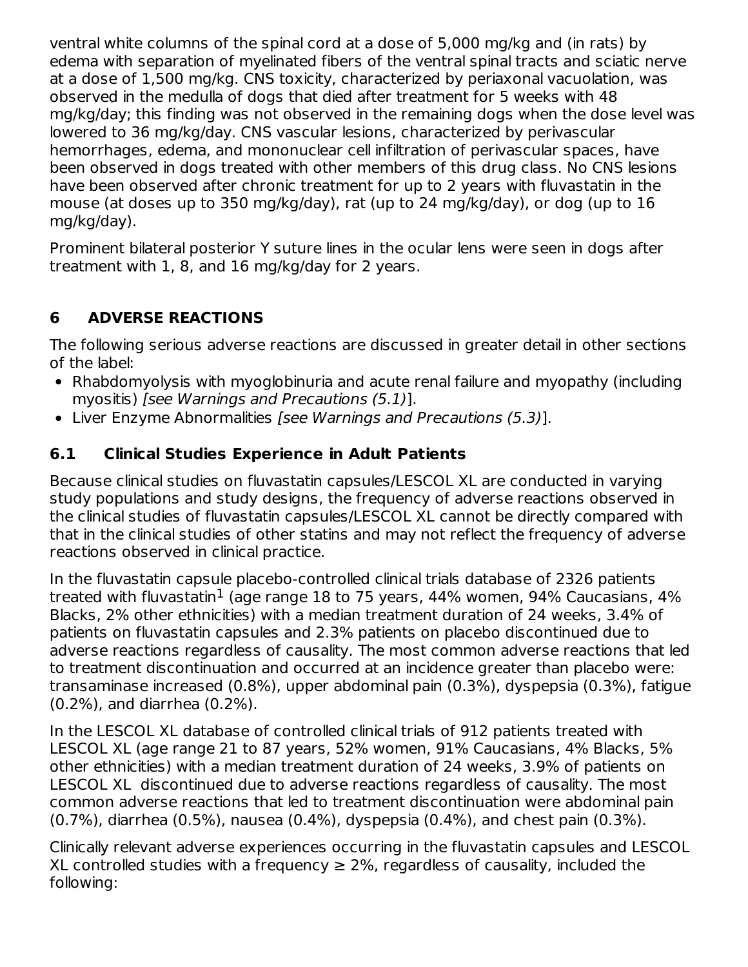ventral white columns of the spinal cord at a dose of 5,000 mg/kg and (in rats) by edema with separation of myelinated fibers of the ventral spinal tracts and sciatic nerve at a dose of 1,500 mg/kg. CNS toxicity, characterized by periaxonal vacuolation, was observed in the medulla of dogs that died after treatment for 5 weeks with 48 mg/kg/day; this finding was not observed in the remaining dogs when the dose level was lowered to 36 mg/kg/day. CNS vascular lesions, characterized by perivascular hemorrhages, edema, and mononuclear cell infiltration of perivascular spaces, have been observed in dogs treated with other members of this drug class. No CNS lesions have been observed after chronic treatment for up to 2 years with fluvastatin in the mouse (at doses up to 350 mg/kg/day), rat (up to 24 mg/kg/day), or dog (up to 16 mg/kg/day).

Prominent bilateral posterior Y suture lines in the ocular lens were seen in dogs after treatment with 1, 8, and 16 mg/kg/day for 2 years.

# **6 ADVERSE REACTIONS**

The following serious adverse reactions are discussed in greater detail in other sections of the label:

- Rhabdomyolysis with myoglobinuria and acute renal failure and myopathy (including myositis) [see Warnings and Precautions (5.1)].
- Liver Enzyme Abnormalities [see Warnings and Precautions (5.3)].

## **6.1 Clinical Studies Experience in Adult Patients**

Because clinical studies on fluvastatin capsules/LESCOL XL are conducted in varying study populations and study designs, the frequency of adverse reactions observed in the clinical studies of fluvastatin capsules/LESCOL XL cannot be directly compared with that in the clinical studies of other statins and may not reflect the frequency of adverse reactions observed in clinical practice.

In the fluvastatin capsule placebo-controlled clinical trials database of 2326 patients treated with fluvastatin $^1$  (age range 18 to 75 years, 44% women, 94% Caucasians, 4%  $\,$ Blacks, 2% other ethnicities) with a median treatment duration of 24 weeks, 3.4% of patients on fluvastatin capsules and 2.3% patients on placebo discontinued due to adverse reactions regardless of causality. The most common adverse reactions that led to treatment discontinuation and occurred at an incidence greater than placebo were: transaminase increased (0.8%), upper abdominal pain (0.3%), dyspepsia (0.3%), fatigue (0.2%), and diarrhea (0.2%).

In the LESCOL XL database of controlled clinical trials of 912 patients treated with LESCOL XL (age range 21 to 87 years, 52% women, 91% Caucasians, 4% Blacks, 5% other ethnicities) with a median treatment duration of 24 weeks, 3.9% of patients on LESCOL XL discontinued due to adverse reactions regardless of causality. The most common adverse reactions that led to treatment discontinuation were abdominal pain (0.7%), diarrhea (0.5%), nausea (0.4%), dyspepsia (0.4%), and chest pain (0.3%).

Clinically relevant adverse experiences occurring in the fluvastatin capsules and LESCOL XL controlled studies with a frequency  $\geq 2\%$ , regardless of causality, included the following: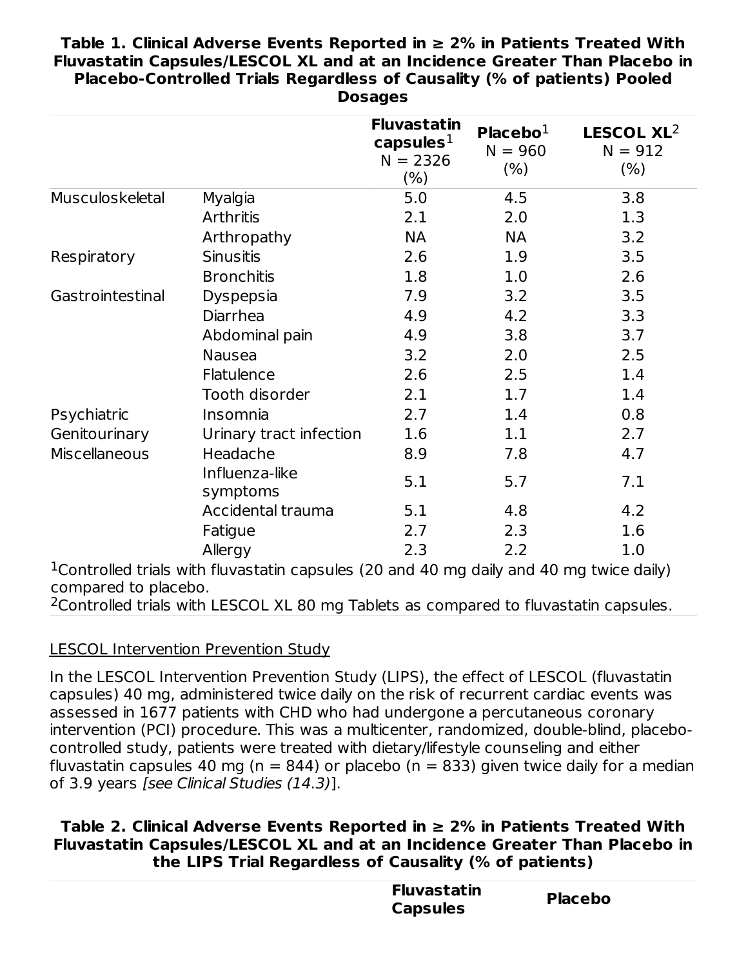#### **Table 1. Clinical Adverse Events Reported in ≥ 2% in Patients Treated With Fluvastatin Capsules/LESCOL XL and at an Incidence Greater Than Placebo in Placebo-Controlled Trials Regardless of Causality (% of patients) Pooled Dosages**

| capsules $1$<br>$N = 2326$ | Placebo $1$<br>$N = 960$<br>(% )   | LESCOL XL <sup>2</sup><br>$N = 912$<br>$(\% )$                                             |
|----------------------------|------------------------------------|--------------------------------------------------------------------------------------------|
| 5.0                        | 4.5                                | 3.8                                                                                        |
| 2.1                        | 2.0                                | 1.3                                                                                        |
| NА                         | <b>NA</b>                          | 3.2                                                                                        |
| 2.6                        | 1.9                                | 3.5                                                                                        |
| 1.8                        | 1.0                                | 2.6                                                                                        |
| 7.9                        | 3.2                                | 3.5                                                                                        |
| 4.9                        | 4.2                                | 3.3                                                                                        |
| 4.9                        | 3.8                                | 3.7                                                                                        |
| 3.2                        | 2.0                                | 2.5                                                                                        |
| 2.6                        | 2.5                                | 1.4                                                                                        |
| 2.1                        | 1.7                                | 1.4                                                                                        |
| 2.7                        | 1.4                                | 0.8                                                                                        |
| 1.6                        | 1.1                                | 2.7                                                                                        |
| 8.9                        | 7.8                                | 4.7                                                                                        |
| 5.1                        | 5.7                                | 7.1                                                                                        |
| 5.1                        | 4.8                                | 4.2                                                                                        |
| 2.7                        | 2.3                                | 1.6                                                                                        |
| 2.3                        | 2.2                                | 1.0                                                                                        |
|                            | $(\% )$<br>Urinary tract infection | $1$ Controlled trials with fluvestatin cancules (20 and 40 mg daily and 40 mg twise daily) |

<sup>1</sup> Controlled trials with fluvastatin capsules (20 and 40 mg daily and 40 mg twice daily) compared to placebo.

 $2$ Controlled trials with LESCOL XL 80 mg Tablets as compared to fluvastatin capsules.

#### LESCOL Intervention Prevention Study

In the LESCOL Intervention Prevention Study (LIPS), the effect of LESCOL (fluvastatin capsules) 40 mg, administered twice daily on the risk of recurrent cardiac events was assessed in 1677 patients with CHD who had undergone a percutaneous coronary intervention (PCI) procedure. This was a multicenter, randomized, double-blind, placebocontrolled study, patients were treated with dietary/lifestyle counseling and either fluvastatin capsules 40 mg ( $n = 844$ ) or placebo ( $n = 833$ ) given twice daily for a median of 3.9 years [see Clinical Studies (14.3)].

#### **Table 2. Clinical Adverse Events Reported in ≥ 2% in Patients Treated With Fluvastatin Capsules/LESCOL XL and at an Incidence Greater Than Placebo in the LIPS Trial Regardless of Causality (% of patients)**

| <b>Fluvastatin</b><br><b>Capsules</b> | <b>Placebo</b> |  |
|---------------------------------------|----------------|--|
|                                       |                |  |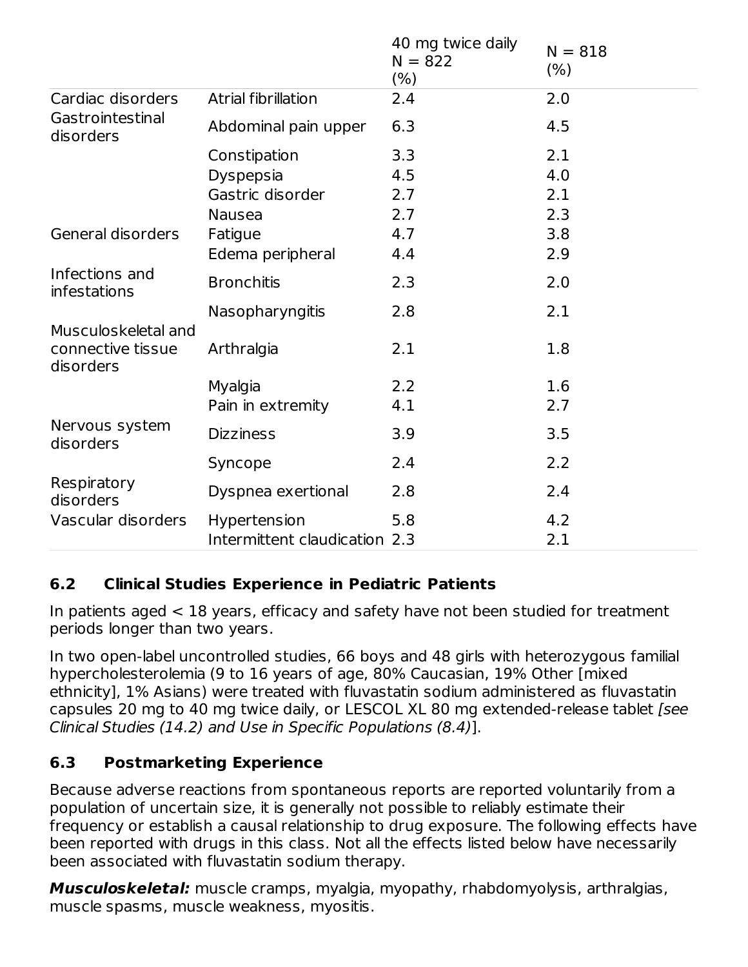|                                                       |                               | 40 mg twice daily<br>$N = 822$<br>(% ) | $N = 818$<br>(% ) |
|-------------------------------------------------------|-------------------------------|----------------------------------------|-------------------|
| Cardiac disorders                                     | Atrial fibrillation           | 2.4                                    | 2.0               |
| Gastrointestinal<br>disorders                         | Abdominal pain upper          | 6.3                                    | 4.5               |
|                                                       | Constipation                  | 3.3                                    | 2.1               |
|                                                       | Dyspepsia                     | 4.5                                    | 4.0               |
|                                                       | Gastric disorder              | 2.7                                    | 2.1               |
|                                                       | <b>Nausea</b>                 | 2.7                                    | 2.3               |
| General disorders                                     | Fatigue                       | 4.7                                    | 3.8               |
|                                                       | Edema peripheral              | 4.4                                    | 2.9               |
| Infections and<br>infestations                        | <b>Bronchitis</b>             | 2.3                                    | 2.0               |
|                                                       | Nasopharyngitis               | 2.8                                    | 2.1               |
| Musculoskeletal and<br>connective tissue<br>disorders | Arthralgia                    | 2.1                                    | 1.8               |
|                                                       | Myalgia                       | 2.2                                    | 1.6               |
|                                                       | Pain in extremity             | 4.1                                    | 2.7               |
| Nervous system<br>disorders                           | <b>Dizziness</b>              | 3.9                                    | 3.5               |
|                                                       | Syncope                       | 2.4                                    | 2.2               |
| Respiratory<br>disorders                              | Dyspnea exertional            | 2.8                                    | 2.4               |
| Vascular disorders                                    | Hypertension                  | 5.8                                    | 4.2               |
|                                                       | Intermittent claudication 2.3 |                                        | 2.1               |

#### **6.2 Clinical Studies Experience in Pediatric Patients**

In patients aged < 18 years, efficacy and safety have not been studied for treatment periods longer than two years.

In two open-label uncontrolled studies, 66 boys and 48 girls with heterozygous familial hypercholesterolemia (9 to 16 years of age, 80% Caucasian, 19% Other [mixed ethnicity], 1% Asians) were treated with fluvastatin sodium administered as fluvastatin capsules 20 mg to 40 mg twice daily, or LESCOL XL 80 mg extended-release tablet [see Clinical Studies (14.2) and Use in Specific Populations (8.4)].

## **6.3 Postmarketing Experience**

Because adverse reactions from spontaneous reports are reported voluntarily from a population of uncertain size, it is generally not possible to reliably estimate their frequency or establish a causal relationship to drug exposure. The following effects have been reported with drugs in this class. Not all the effects listed below have necessarily been associated with fluvastatin sodium therapy.

**Musculoskeletal:** muscle cramps, myalgia, myopathy, rhabdomyolysis, arthralgias, muscle spasms, muscle weakness, myositis.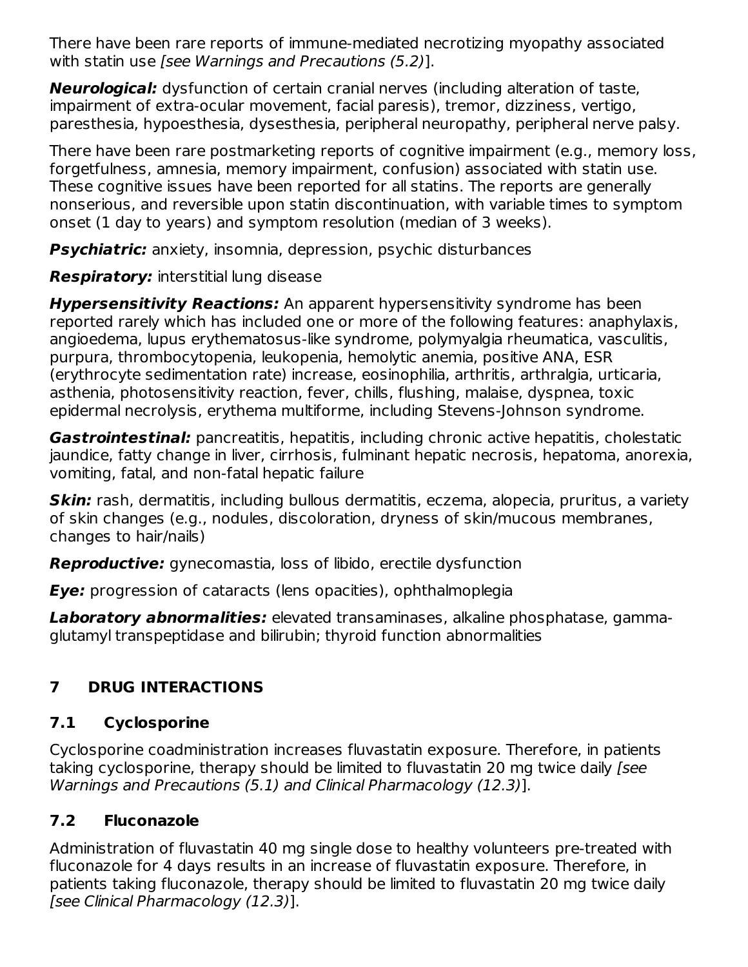There have been rare reports of immune-mediated necrotizing myopathy associated with statin use [see Warnings and Precautions (5.2)].

**Neurological:** dysfunction of certain cranial nerves (including alteration of taste, impairment of extra-ocular movement, facial paresis), tremor, dizziness, vertigo, paresthesia, hypoesthesia, dysesthesia, peripheral neuropathy, peripheral nerve palsy.

There have been rare postmarketing reports of cognitive impairment (e.g., memory loss, forgetfulness, amnesia, memory impairment, confusion) associated with statin use. These cognitive issues have been reported for all statins. The reports are generally nonserious, and reversible upon statin discontinuation, with variable times to symptom onset (1 day to years) and symptom resolution (median of 3 weeks).

**Psychiatric:** anxiety, insomnia, depression, psychic disturbances

**Respiratory:** interstitial lung disease

**Hypersensitivity Reactions:** An apparent hypersensitivity syndrome has been reported rarely which has included one or more of the following features: anaphylaxis, angioedema, lupus erythematosus-like syndrome, polymyalgia rheumatica, vasculitis, purpura, thrombocytopenia, leukopenia, hemolytic anemia, positive ANA, ESR (erythrocyte sedimentation rate) increase, eosinophilia, arthritis, arthralgia, urticaria, asthenia, photosensitivity reaction, fever, chills, flushing, malaise, dyspnea, toxic epidermal necrolysis, erythema multiforme, including Stevens-Johnson syndrome.

**Gastrointestinal:** pancreatitis, hepatitis, including chronic active hepatitis, cholestatic jaundice, fatty change in liver, cirrhosis, fulminant hepatic necrosis, hepatoma, anorexia, vomiting, fatal, and non-fatal hepatic failure

**Skin:** rash, dermatitis, including bullous dermatitis, eczema, alopecia, pruritus, a variety of skin changes (e.g., nodules, discoloration, dryness of skin/mucous membranes, changes to hair/nails)

**Reproductive:** gynecomastia, loss of libido, erectile dysfunction

**Eye:** progression of cataracts (lens opacities), ophthalmoplegia

**Laboratory abnormalities:** elevated transaminases, alkaline phosphatase, gammaglutamyl transpeptidase and bilirubin; thyroid function abnormalities

# **7 DRUG INTERACTIONS**

# **7.1 Cyclosporine**

Cyclosporine coadministration increases fluvastatin exposure. Therefore, in patients taking cyclosporine, therapy should be limited to fluvastatin 20 mg twice daily [see Warnings and Precautions (5.1) and Clinical Pharmacology (12.3)].

# **7.2 Fluconazole**

Administration of fluvastatin 40 mg single dose to healthy volunteers pre-treated with fluconazole for 4 days results in an increase of fluvastatin exposure. Therefore, in patients taking fluconazole, therapy should be limited to fluvastatin 20 mg twice daily [see Clinical Pharmacology (12.3)].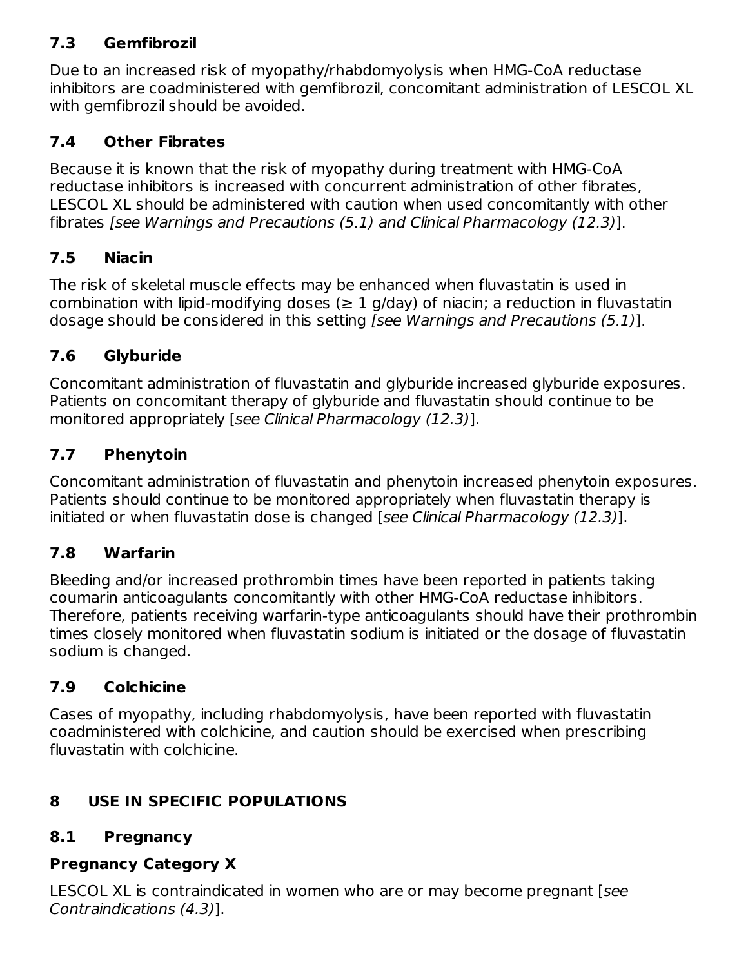#### **7.3 Gemfibrozil**

Due to an increased risk of myopathy/rhabdomyolysis when HMG-CoA reductase inhibitors are coadministered with gemfibrozil, concomitant administration of LESCOL XL with gemfibrozil should be avoided.

## **7.4 Other Fibrates**

Because it is known that the risk of myopathy during treatment with HMG-CoA reductase inhibitors is increased with concurrent administration of other fibrates, LESCOL XL should be administered with caution when used concomitantly with other fibrates [see Warnings and Precautions (5.1) and Clinical Pharmacology (12.3)].

## **7.5 Niacin**

The risk of skeletal muscle effects may be enhanced when fluvastatin is used in combination with lipid-modifying doses ( $\geq 1$  g/day) of niacin; a reduction in fluvastatin dosage should be considered in this setting [see Warnings and Precautions (5.1)].

# **7.6 Glyburide**

Concomitant administration of fluvastatin and glyburide increased glyburide exposures. Patients on concomitant therapy of glyburide and fluvastatin should continue to be monitored appropriately [see Clinical Pharmacology (12.3)].

# **7.7 Phenytoin**

Concomitant administration of fluvastatin and phenytoin increased phenytoin exposures. Patients should continue to be monitored appropriately when fluvastatin therapy is initiated or when fluvastatin dose is changed [see Clinical Pharmacology (12.3)].

## **7.8 Warfarin**

Bleeding and/or increased prothrombin times have been reported in patients taking coumarin anticoagulants concomitantly with other HMG-CoA reductase inhibitors. Therefore, patients receiving warfarin-type anticoagulants should have their prothrombin times closely monitored when fluvastatin sodium is initiated or the dosage of fluvastatin sodium is changed.

## **7.9 Colchicine**

Cases of myopathy, including rhabdomyolysis, have been reported with fluvastatin coadministered with colchicine, and caution should be exercised when prescribing fluvastatin with colchicine.

# **8 USE IN SPECIFIC POPULATIONS**

## **8.1 Pregnancy**

## **Pregnancy Category X**

LESCOL XL is contraindicated in women who are or may become pregnant [see Contraindications (4.3)].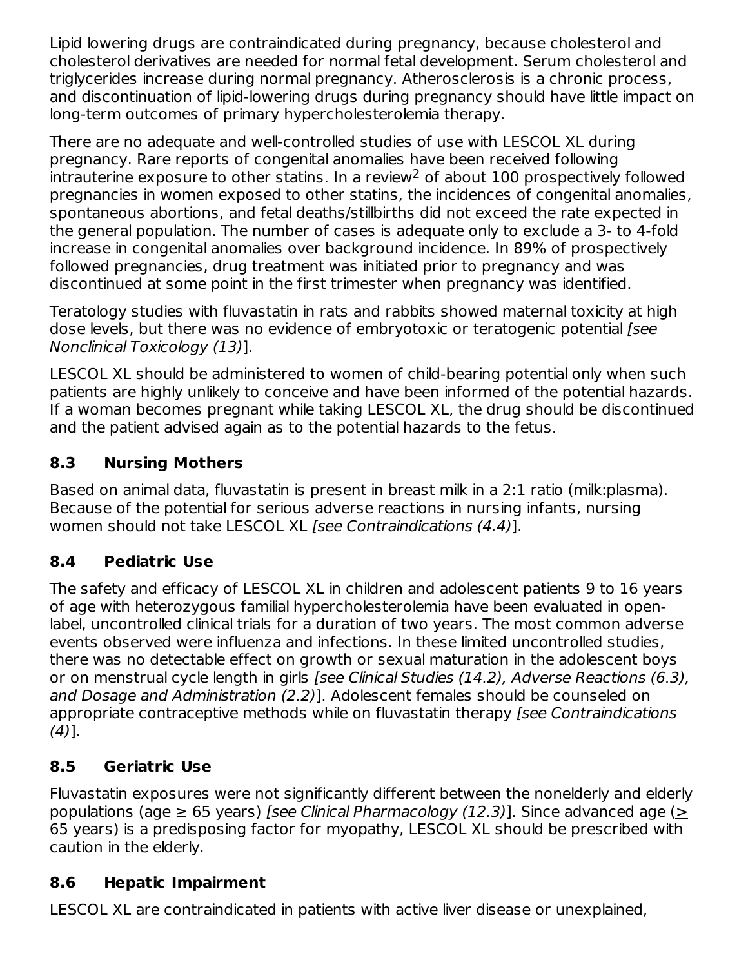Lipid lowering drugs are contraindicated during pregnancy, because cholesterol and cholesterol derivatives are needed for normal fetal development. Serum cholesterol and triglycerides increase during normal pregnancy. Atherosclerosis is a chronic process, and discontinuation of lipid-lowering drugs during pregnancy should have little impact on long-term outcomes of primary hypercholesterolemia therapy.

There are no adequate and well-controlled studies of use with LESCOL XL during pregnancy. Rare reports of congenital anomalies have been received following intrauterine exposure to other statins. In a review<sup>2</sup> of about  $100$  prospectively followed pregnancies in women exposed to other statins, the incidences of congenital anomalies, spontaneous abortions, and fetal deaths/stillbirths did not exceed the rate expected in the general population. The number of cases is adequate only to exclude a 3- to 4-fold increase in congenital anomalies over background incidence. In 89% of prospectively followed pregnancies, drug treatment was initiated prior to pregnancy and was discontinued at some point in the first trimester when pregnancy was identified.

Teratology studies with fluvastatin in rats and rabbits showed maternal toxicity at high dose levels, but there was no evidence of embryotoxic or teratogenic potential [see Nonclinical Toxicology (13)].

LESCOL XL should be administered to women of child-bearing potential only when such patients are highly unlikely to conceive and have been informed of the potential hazards. If a woman becomes pregnant while taking LESCOL XL, the drug should be discontinued and the patient advised again as to the potential hazards to the fetus.

## **8.3 Nursing Mothers**

Based on animal data, fluvastatin is present in breast milk in a 2:1 ratio (milk:plasma). Because of the potential for serious adverse reactions in nursing infants, nursing women should not take LESCOL XL [see Contraindications (4.4)].

## **8.4 Pediatric Use**

The safety and efficacy of LESCOL XL in children and adolescent patients 9 to 16 years of age with heterozygous familial hypercholesterolemia have been evaluated in openlabel, uncontrolled clinical trials for a duration of two years. The most common adverse events observed were influenza and infections. In these limited uncontrolled studies, there was no detectable effect on growth or sexual maturation in the adolescent boys or on menstrual cycle length in girls [see Clinical Studies (14.2), Adverse Reactions (6.3), and Dosage and Administration (2.2)]. Adolescent females should be counseled on appropriate contraceptive methods while on fluvastatin therapy [see Contraindications  $(4)$ ].

## **8.5 Geriatric Use**

Fluvastatin exposures were not significantly different between the nonelderly and elderly populations (age  $\geq$  65 years) [see Clinical Pharmacology (12.3)]. Since advanced age ( $\geq$ 65 years) is a predisposing factor for myopathy, LESCOL XL should be prescribed with caution in the elderly.

## **8.6 Hepatic Impairment**

LESCOL XL are contraindicated in patients with active liver disease or unexplained,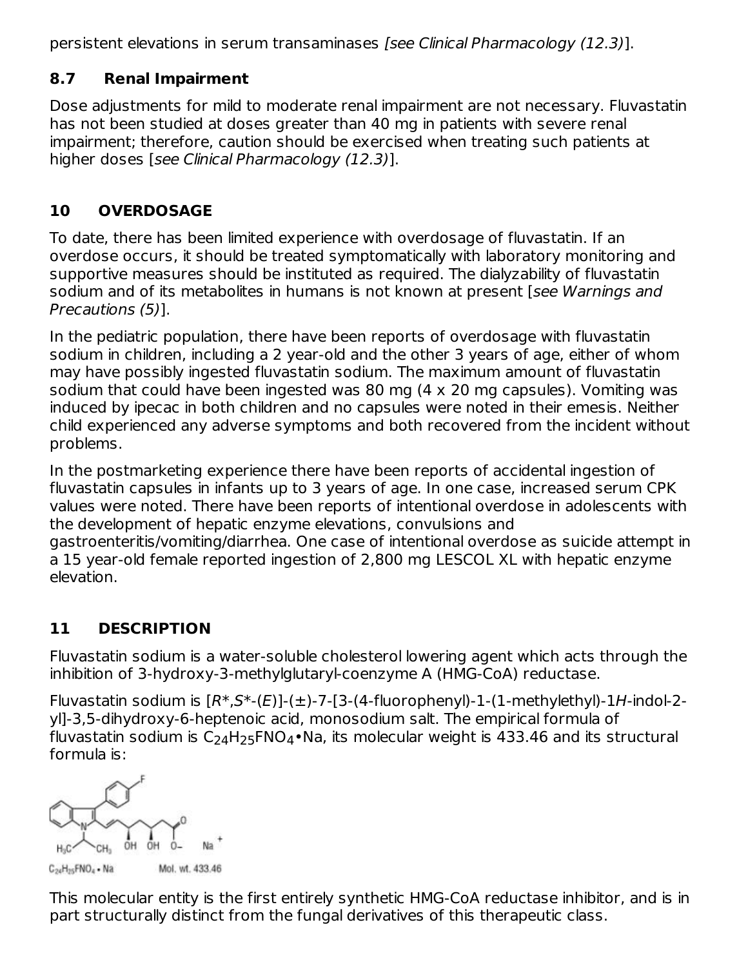persistent elevations in serum transaminases [see Clinical Pharmacology (12.3)].

#### **8.7 Renal Impairment**

Dose adjustments for mild to moderate renal impairment are not necessary. Fluvastatin has not been studied at doses greater than 40 mg in patients with severe renal impairment; therefore, caution should be exercised when treating such patients at higher doses [see Clinical Pharmacology (12.3)].

## **10 OVERDOSAGE**

To date, there has been limited experience with overdosage of fluvastatin. If an overdose occurs, it should be treated symptomatically with laboratory monitoring and supportive measures should be instituted as required. The dialyzability of fluvastatin sodium and of its metabolites in humans is not known at present [see Warnings and Precautions (5)].

In the pediatric population, there have been reports of overdosage with fluvastatin sodium in children, including a 2 year-old and the other 3 years of age, either of whom may have possibly ingested fluvastatin sodium. The maximum amount of fluvastatin sodium that could have been ingested was 80 mg (4 x 20 mg capsules). Vomiting was induced by ipecac in both children and no capsules were noted in their emesis. Neither child experienced any adverse symptoms and both recovered from the incident without problems.

In the postmarketing experience there have been reports of accidental ingestion of fluvastatin capsules in infants up to 3 years of age. In one case, increased serum CPK values were noted. There have been reports of intentional overdose in adolescents with the development of hepatic enzyme elevations, convulsions and gastroenteritis/vomiting/diarrhea. One case of intentional overdose as suicide attempt in a 15 year-old female reported ingestion of 2,800 mg LESCOL XL with hepatic enzyme elevation.

## **11 DESCRIPTION**

Fluvastatin sodium is a water-soluble cholesterol lowering agent which acts through the inhibition of 3-hydroxy-3-methylglutaryl-coenzyme A (HMG-CoA) reductase.

Fluvastatin sodium is  $[R^*,S^*-(E)]-(\pm)$ -7-[3-(4-fluorophenyl)-1-(1-methylethyl)-1H-indol-2yl]-3,5-dihydroxy-6-heptenoic acid, monosodium salt. The empirical formula of fluvastatin sodium is C $_{\rm 24}$ H $_{\rm 25}$ FNO $_{\rm 4}$ •Na, its molecular weight is 433.46 and its structural formula is:

OH OH C<sub>24</sub>H<sub>25</sub>FNO<sub>4</sub> . Na Mol. wt. 433.46

This molecular entity is the first entirely synthetic HMG-CoA reductase inhibitor, and is in part structurally distinct from the fungal derivatives of this therapeutic class.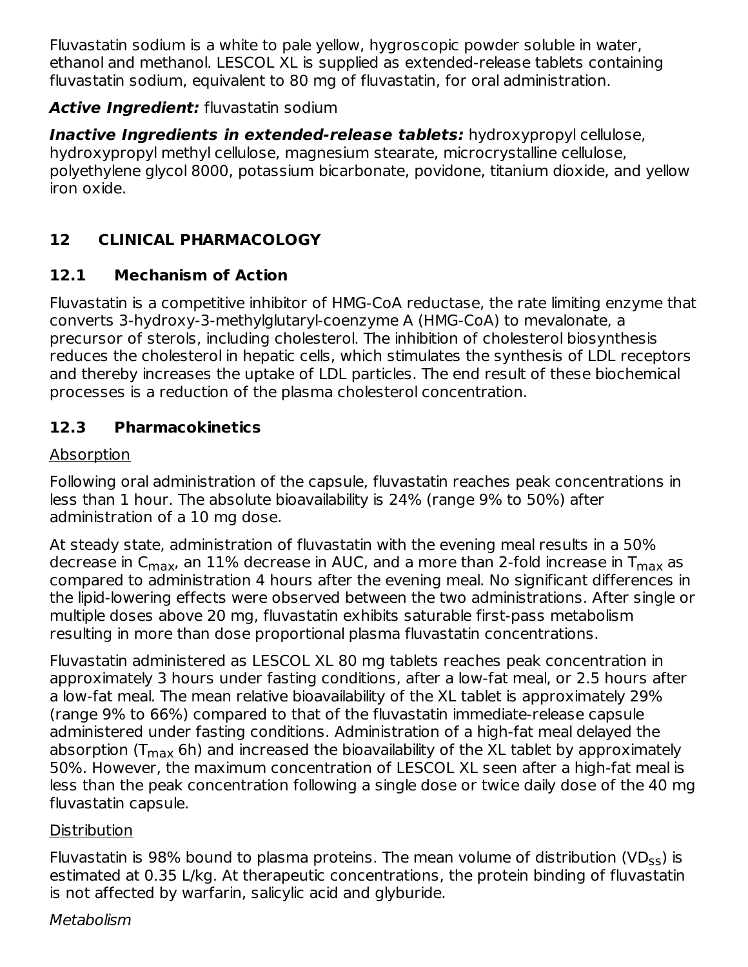Fluvastatin sodium is a white to pale yellow, hygroscopic powder soluble in water, ethanol and methanol. LESCOL XL is supplied as extended-release tablets containing fluvastatin sodium, equivalent to 80 mg of fluvastatin, for oral administration.

#### **Active Ingredient:** fluvastatin sodium

**Inactive Ingredients in extended-release tablets:** hydroxypropyl cellulose, hydroxypropyl methyl cellulose, magnesium stearate, microcrystalline cellulose, polyethylene glycol 8000, potassium bicarbonate, povidone, titanium dioxide, and yellow iron oxide.

# **12 CLINICAL PHARMACOLOGY**

#### **12.1 Mechanism of Action**

Fluvastatin is a competitive inhibitor of HMG-CoA reductase, the rate limiting enzyme that converts 3-hydroxy-3-methylglutaryl-coenzyme A (HMG-CoA) to mevalonate, a precursor of sterols, including cholesterol. The inhibition of cholesterol biosynthesis reduces the cholesterol in hepatic cells, which stimulates the synthesis of LDL receptors and thereby increases the uptake of LDL particles. The end result of these biochemical processes is a reduction of the plasma cholesterol concentration.

#### **12.3 Pharmacokinetics**

#### Absorption

Following oral administration of the capsule, fluvastatin reaches peak concentrations in less than 1 hour. The absolute bioavailability is 24% (range 9% to 50%) after administration of a 10 mg dose.

At steady state, administration of fluvastatin with the evening meal results in a 50% decrease in C<sub>max</sub>, an 11% decrease in AUC, and a more than 2-fold increase in T<sub>max</sub> as compared to administration 4 hours after the evening meal. No significant differences in the lipid-lowering effects were observed between the two administrations. After single or multiple doses above 20 mg, fluvastatin exhibits saturable first-pass metabolism resulting in more than dose proportional plasma fluvastatin concentrations.

Fluvastatin administered as LESCOL XL 80 mg tablets reaches peak concentration in approximately 3 hours under fasting conditions, after a low-fat meal, or 2.5 hours after a low-fat meal. The mean relative bioavailability of the XL tablet is approximately 29% (range 9% to 66%) compared to that of the fluvastatin immediate-release capsule administered under fasting conditions. Administration of a high-fat meal delayed the absorption (T<sub>max</sub> 6h) and increased the bioavailability of the XL tablet by approximately 50%. However, the maximum concentration of LESCOL XL seen after a high-fat meal is less than the peak concentration following a single dose or twice daily dose of the 40 mg fluvastatin capsule.

#### **Distribution**

Fluvastatin is 98% bound to plasma proteins. The mean volume of distribution (VD $_{\sf ss}$ ) is estimated at 0.35 L/kg. At therapeutic concentrations, the protein binding of fluvastatin is not affected by warfarin, salicylic acid and glyburide.

#### **Metabolism**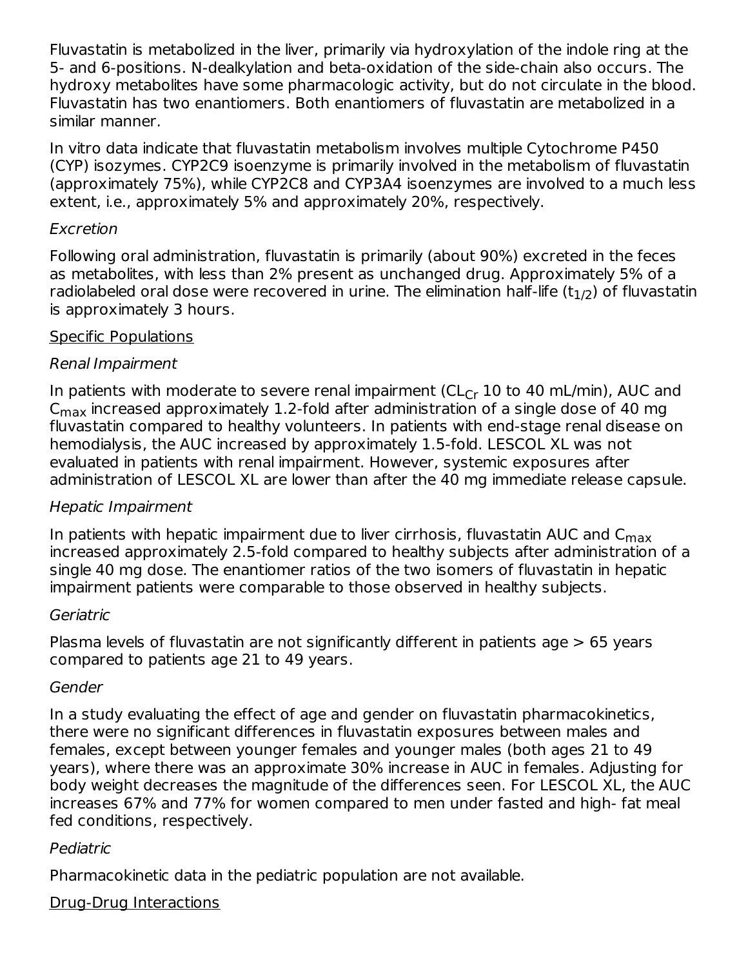Fluvastatin is metabolized in the liver, primarily via hydroxylation of the indole ring at the 5- and 6-positions. N-dealkylation and beta-oxidation of the side-chain also occurs. The hydroxy metabolites have some pharmacologic activity, but do not circulate in the blood. Fluvastatin has two enantiomers. Both enantiomers of fluvastatin are metabolized in a similar manner.

In vitro data indicate that fluvastatin metabolism involves multiple Cytochrome P450 (CYP) isozymes. CYP2C9 isoenzyme is primarily involved in the metabolism of fluvastatin (approximately 75%), while CYP2C8 and CYP3A4 isoenzymes are involved to a much less extent, i.e., approximately 5% and approximately 20%, respectively.

#### Excretion

Following oral administration, fluvastatin is primarily (about 90%) excreted in the feces as metabolites, with less than 2% present as unchanged drug. Approximately 5% of a radiolabeled oral dose were recovered in urine. The elimination half-life (t $_{\rm 1/2}$ ) of fluvastatin is approximately 3 hours.

#### Specific Populations

#### Renal Impairment

In patients with moderate to severe renal impairment ( $\mathsf{CL}_{\mathsf{Cr}}$  10 to 40 mL/min), AUC and  $\mathsf{C}_{\mathsf{max}}$  increased approximately 1.2-fold after administration of a single dose of 40 mg fluvastatin compared to healthy volunteers. In patients with end-stage renal disease on hemodialysis, the AUC increased by approximately 1.5-fold. LESCOL XL was not evaluated in patients with renal impairment. However, systemic exposures after administration of LESCOL XL are lower than after the 40 mg immediate release capsule.

#### Hepatic Impairment

In patients with hepatic impairment due to liver cirrhosis, fluvastatin AUC and  $\mathsf{C}_{\mathsf{max}}$ increased approximately 2.5-fold compared to healthy subjects after administration of a single 40 mg dose. The enantiomer ratios of the two isomers of fluvastatin in hepatic impairment patients were comparable to those observed in healthy subjects.

#### **Geriatric**

Plasma levels of fluvastatin are not significantly different in patients age > 65 years compared to patients age 21 to 49 years.

#### Gender

In a study evaluating the effect of age and gender on fluvastatin pharmacokinetics, there were no significant differences in fluvastatin exposures between males and females, except between younger females and younger males (both ages 21 to 49 years), where there was an approximate 30% increase in AUC in females. Adjusting for body weight decreases the magnitude of the differences seen. For LESCOL XL, the AUC increases 67% and 77% for women compared to men under fasted and high- fat meal fed conditions, respectively.

#### Pediatric

Pharmacokinetic data in the pediatric population are not available.

#### Drug-Drug Interactions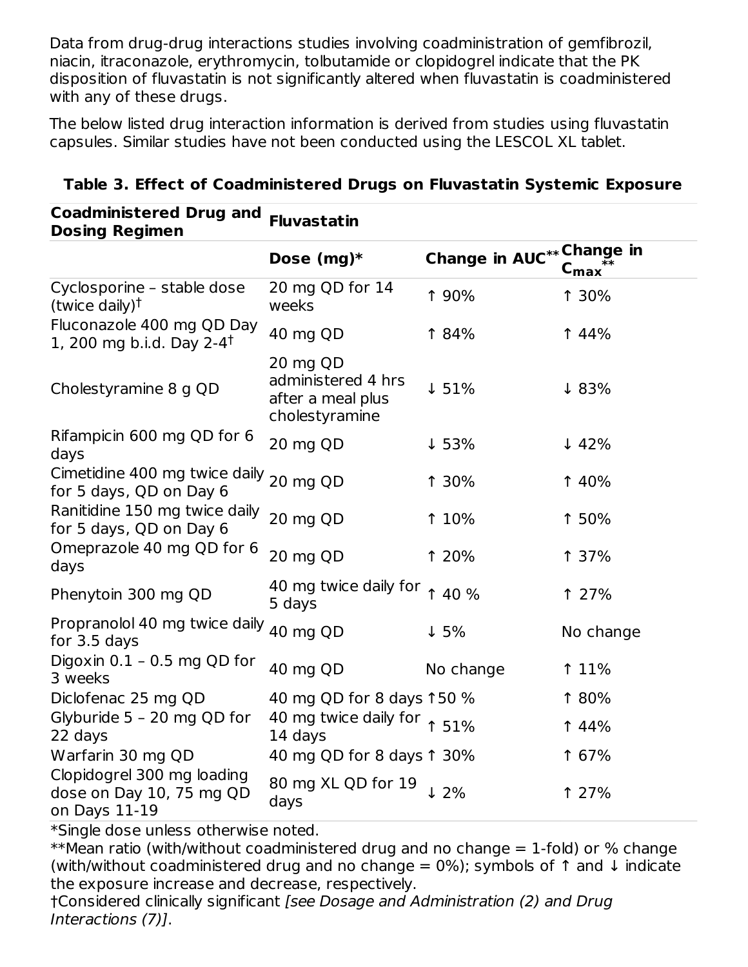Data from drug-drug interactions studies involving coadministration of gemfibrozil, niacin, itraconazole, erythromycin, tolbutamide or clopidogrel indicate that the PK disposition of fluvastatin is not significantly altered when fluvastatin is coadministered with any of these drugs.

The below listed drug interaction information is derived from studies using fluvastatin capsules. Similar studies have not been conducted using the LESCOL XL tablet.

| odunimistereu Drug anu<br><b>Dosing Regimen</b>                         | <b>Fluvastatin</b>                                                    |                                  |                             |
|-------------------------------------------------------------------------|-----------------------------------------------------------------------|----------------------------------|-----------------------------|
|                                                                         | Dose $(mg)*$                                                          | <b>Change in AUC**</b> Change in | $\mathsf{C}_{\mathsf{max}}$ |
| Cyclosporine - stable dose<br>(twice daily) <sup>†</sup>                | 20 mg QD for 14<br>weeks                                              | <b>190%</b>                      | <b>130%</b>                 |
| Fluconazole 400 mg QD Day<br>1, 200 mg b.i.d. Day 2-4 <sup>†</sup>      | 40 mg QD                                                              | 184%                             | <b>14%</b>                  |
| Cholestyramine 8 g QD                                                   | 20 mg QD<br>administered 4 hrs<br>after a meal plus<br>cholestyramine | $\downarrow 51\%$                | ↓83%                        |
| Rifampicin 600 mg QD for 6<br>days                                      | 20 mg QD                                                              | $\downarrow$ 53%                 | $\downarrow$ 42%            |
| Cimetidine 400 mg twice daily 20 mg QD<br>for 5 days, QD on Day 6       |                                                                       | 1 30%                            | <b>140%</b>                 |
| Ranitidine 150 mg twice daily<br>for 5 days, QD on Day 6                | 20 mg QD                                                              | 1 10%                            | 1 50%                       |
| Omeprazole 40 mg QD for 6<br>days                                       | 20 mg QD                                                              | 1 20%                            | <b>137%</b>                 |
| Phenytoin 300 mg QD                                                     | 40 mg twice daily for $\uparrow$ 40 %<br>5 days                       |                                  | 1 27%                       |
| Propranolol 40 mg twice daily <sub>40 mg QD</sub><br>for 3.5 days       |                                                                       | $\downarrow$ 5%                  | No change                   |
| Digoxin 0.1 - 0.5 mg QD for<br>3 weeks                                  | 40 mg QD                                                              | No change                        | <b>11%</b>                  |
| Diclofenac 25 mg QD                                                     | 40 mg QD for 8 days 150 %                                             |                                  | 1 80%                       |
| Glyburide 5 - 20 mg QD for<br>22 days                                   | 40 mg twice daily for $\uparrow$ 51%<br>14 days                       |                                  | <b>14%</b>                  |
| Warfarin 30 mg QD                                                       | 40 mg QD for 8 days 1 30%                                             |                                  | 1 67%                       |
| Clopidogrel 300 mg loading<br>dose on Day 10, 75 mg QD<br>on Days 11-19 | 80 mg XL QD for 19<br>days                                            | 12%                              | 1 27%                       |

#### **Table 3. Effect of Coadministered Drugs on Fluvastatin Systemic Exposure**

\*Single dose unless otherwise noted.

**Coadministered Drug and**

\*\*Mean ratio (with/without coadministered drug and no change  $= 1$ -fold) or % change (with/without coadministered drug and no change =  $0\%$ ); symbols of  $\uparrow$  and  $\downarrow$  indicate the exposure increase and decrease, respectively.

†Considered clinically significant [see Dosage and Administration (2) and Drug Interactions (7)].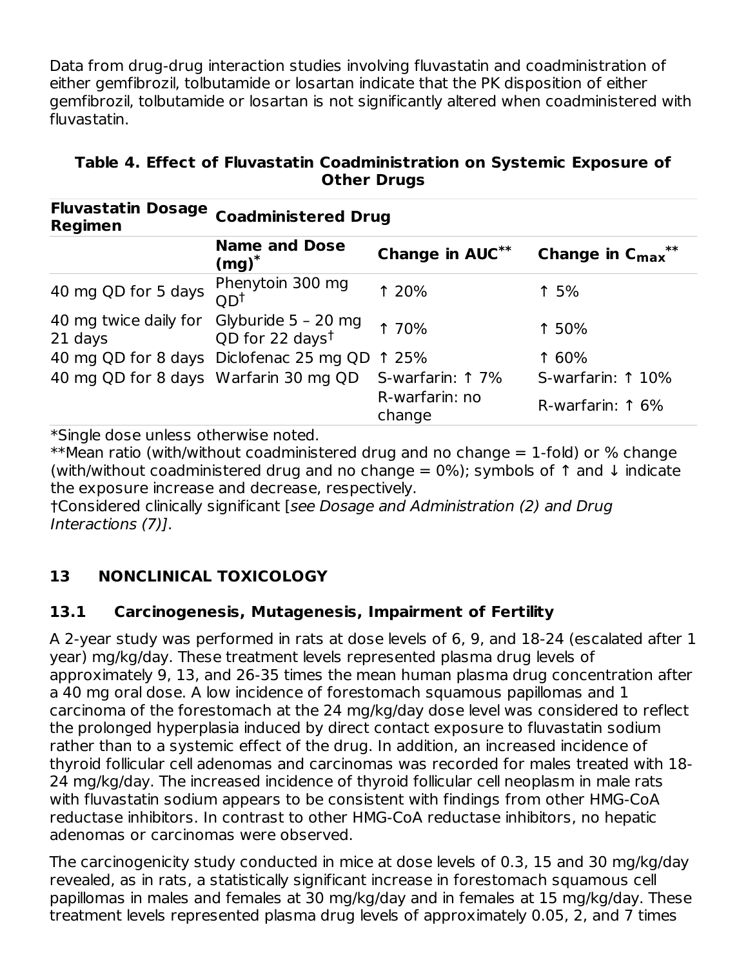Data from drug-drug interaction studies involving fluvastatin and coadministration of either gemfibrozil, tolbutamide or losartan indicate that the PK disposition of either gemfibrozil, tolbutamide or losartan is not significantly altered when coadministered with fluvastatin.

| FIUVASLALIII DUSAYE<br>Regimen        | <b>Coadministered Drug</b>                         |                          |                        |  |  |  |  |
|---------------------------------------|----------------------------------------------------|--------------------------|------------------------|--|--|--|--|
|                                       | <b>Name and Dose</b><br>$(mg)^*$                   | Change in AUC**          | Change in $C_{max}$ ** |  |  |  |  |
| 40 mg QD for 5 days                   | Phenytoin 300 mg<br>OD <sup>†</sup>                | 1 20%                    | 1.5%                   |  |  |  |  |
| 40 mg twice daily for<br>21 days      | Glyburide 5 - 20 mg<br>QD for 22 days <sup>t</sup> | 1 70%                    | 1 50%                  |  |  |  |  |
|                                       | 40 mg QD for 8 days Diclofenac 25 mg QD 1 25%      |                          | 1 60%                  |  |  |  |  |
| 40 mg QD for 8 days Warfarin 30 mg QD |                                                    | S-warfarin: 1 7%         | S-warfarin: 1 10%      |  |  |  |  |
|                                       |                                                    | R-warfarin: no<br>change | R-warfarin: 1 6%       |  |  |  |  |

**Table 4. Effect of Fluvastatin Coadministration on Systemic Exposure of Other Drugs**

\*Single dose unless otherwise noted.

**Fluvastatin Dosage**

\*\*Mean ratio (with/without coadministered drug and no change  $= 1$ -fold) or % change (with/without coadministered drug and no change =  $0\%$ ); symbols of  $\uparrow$  and  $\downarrow$  indicate the exposure increase and decrease, respectively.

†Considered clinically significant [see Dosage and Administration (2) and Drug Interactions (7)].

# **13 NONCLINICAL TOXICOLOGY**

## **13.1 Carcinogenesis, Mutagenesis, Impairment of Fertility**

A 2-year study was performed in rats at dose levels of 6, 9, and 18-24 (escalated after 1 year) mg/kg/day. These treatment levels represented plasma drug levels of approximately 9, 13, and 26-35 times the mean human plasma drug concentration after a 40 mg oral dose. A low incidence of forestomach squamous papillomas and 1 carcinoma of the forestomach at the 24 mg/kg/day dose level was considered to reflect the prolonged hyperplasia induced by direct contact exposure to fluvastatin sodium rather than to a systemic effect of the drug. In addition, an increased incidence of thyroid follicular cell adenomas and carcinomas was recorded for males treated with 18- 24 mg/kg/day. The increased incidence of thyroid follicular cell neoplasm in male rats with fluvastatin sodium appears to be consistent with findings from other HMG-CoA reductase inhibitors. In contrast to other HMG-CoA reductase inhibitors, no hepatic adenomas or carcinomas were observed.

The carcinogenicity study conducted in mice at dose levels of 0.3, 15 and 30 mg/kg/day revealed, as in rats, a statistically significant increase in forestomach squamous cell papillomas in males and females at 30 mg/kg/day and in females at 15 mg/kg/day. These treatment levels represented plasma drug levels of approximately 0.05, 2, and 7 times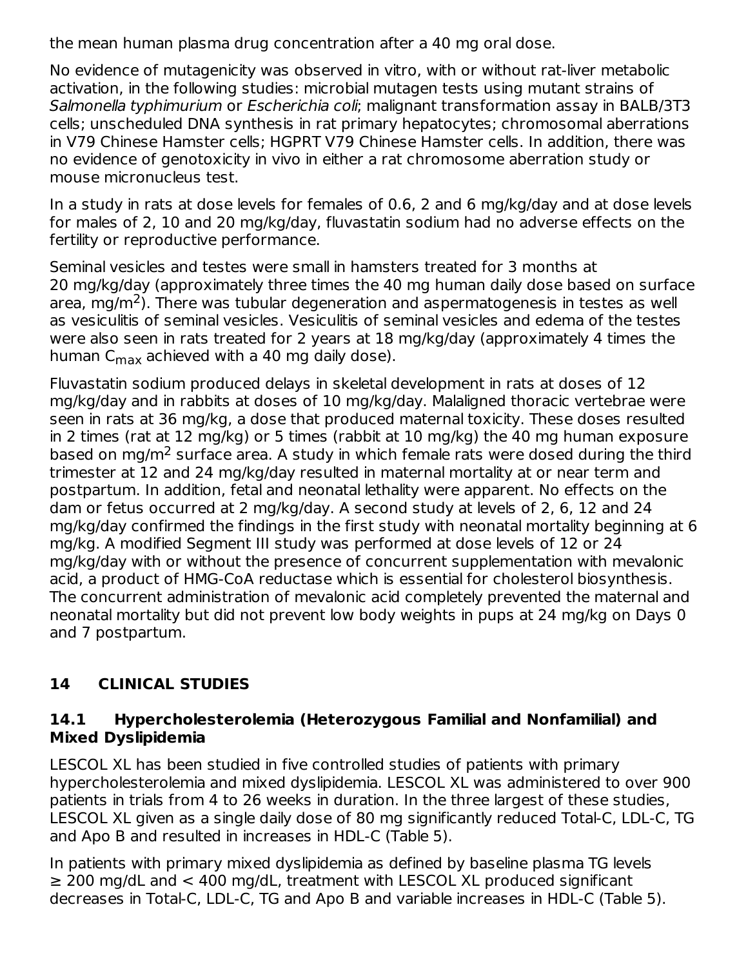the mean human plasma drug concentration after a 40 mg oral dose.

No evidence of mutagenicity was observed in vitro, with or without rat-liver metabolic activation, in the following studies: microbial mutagen tests using mutant strains of Salmonella typhimurium or Escherichia coli; malignant transformation assay in BALB/3T3 cells; unscheduled DNA synthesis in rat primary hepatocytes; chromosomal aberrations in V79 Chinese Hamster cells; HGPRT V79 Chinese Hamster cells. In addition, there was no evidence of genotoxicity in vivo in either a rat chromosome aberration study or mouse micronucleus test.

In a study in rats at dose levels for females of 0.6, 2 and 6 mg/kg/day and at dose levels for males of 2, 10 and 20 mg/kg/day, fluvastatin sodium had no adverse effects on the fertility or reproductive performance.

Seminal vesicles and testes were small in hamsters treated for 3 months at 20 mg/kg/day (approximately three times the 40 mg human daily dose based on surface area, mg/m<sup>2</sup>). There was tubular degeneration and aspermatogenesis in testes as well as vesiculitis of seminal vesicles. Vesiculitis of seminal vesicles and edema of the testes were also seen in rats treated for 2 years at 18 mg/kg/day (approximately 4 times the human C<sub>max</sub> achieved with a 40 mg daily dose).

Fluvastatin sodium produced delays in skeletal development in rats at doses of 12 mg/kg/day and in rabbits at doses of 10 mg/kg/day. Malaligned thoracic vertebrae were seen in rats at 36 mg/kg, a dose that produced maternal toxicity. These doses resulted in 2 times (rat at 12 mg/kg) or 5 times (rabbit at 10 mg/kg) the 40 mg human exposure based on mg/m<sup>2</sup> surface area. A study in which female rats were dosed during the third trimester at 12 and 24 mg/kg/day resulted in maternal mortality at or near term and postpartum. In addition, fetal and neonatal lethality were apparent. No effects on the dam or fetus occurred at 2 mg/kg/day. A second study at levels of 2, 6, 12 and 24 mg/kg/day confirmed the findings in the first study with neonatal mortality beginning at 6 mg/kg. A modified Segment III study was performed at dose levels of 12 or 24 mg/kg/day with or without the presence of concurrent supplementation with mevalonic acid, a product of HMG-CoA reductase which is essential for cholesterol biosynthesis. The concurrent administration of mevalonic acid completely prevented the maternal and neonatal mortality but did not prevent low body weights in pups at 24 mg/kg on Days 0 and 7 postpartum.

# **14 CLINICAL STUDIES**

#### **14.1 Hypercholesterolemia (Heterozygous Familial and Nonfamilial) and Mixed Dyslipidemia**

LESCOL XL has been studied in five controlled studies of patients with primary hypercholesterolemia and mixed dyslipidemia. LESCOL XL was administered to over 900 patients in trials from 4 to 26 weeks in duration. In the three largest of these studies, LESCOL XL given as a single daily dose of 80 mg significantly reduced Total-C, LDL-C, TG and Apo B and resulted in increases in HDL-C (Table 5).

In patients with primary mixed dyslipidemia as defined by baseline plasma TG levels ≥ 200 mg/dL and < 400 mg/dL, treatment with LESCOL XL produced significant decreases in Total-C, LDL-C, TG and Apo B and variable increases in HDL-C (Table 5).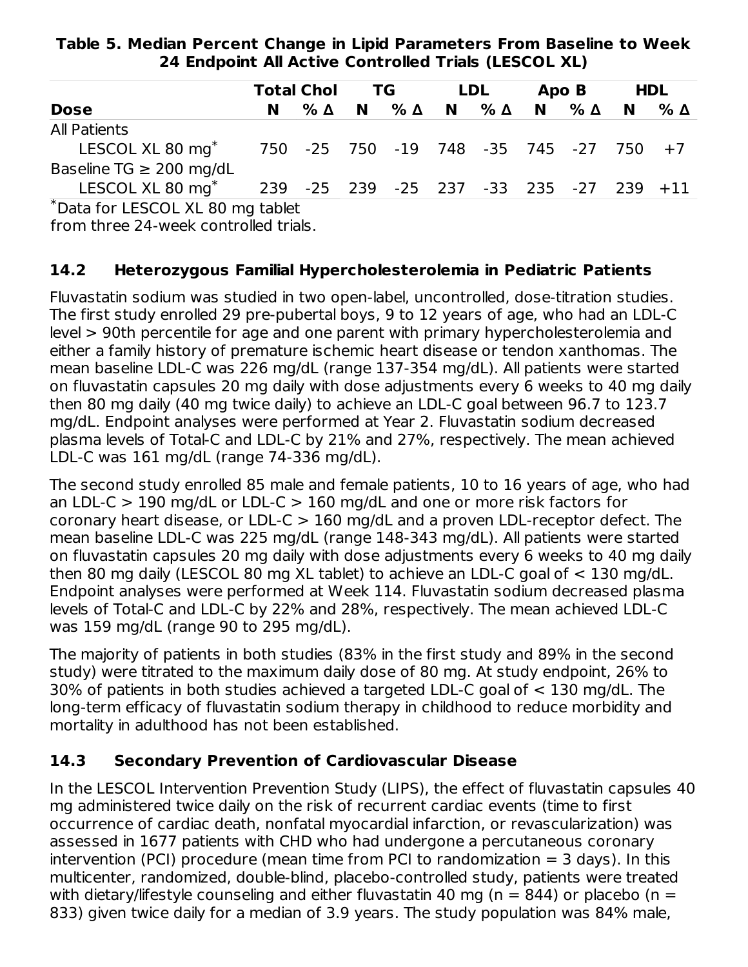**Table 5. Median Percent Change in Lipid Parameters From Baseline to Week 24 Endpoint All Active Controlled Trials (LESCOL XL)**

|                                                                                                                                                                                                                                                                                                                                                                                       |                                        | <b>Total Chol</b>                       | TG.      |               |          | LDL.          | Apo B        | <b>HDL</b>          |
|---------------------------------------------------------------------------------------------------------------------------------------------------------------------------------------------------------------------------------------------------------------------------------------------------------------------------------------------------------------------------------------|----------------------------------------|-----------------------------------------|----------|---------------|----------|---------------|--------------|---------------------|
| <b>Dose</b>                                                                                                                                                                                                                                                                                                                                                                           | N                                      | $\%$ $\Delta$                           | <b>N</b> | $\%$ $\Delta$ | <b>N</b> | $\%$ $\Delta$ | <b>N</b> % Δ | $N \quad \% \Delta$ |
| <b>All Patients</b>                                                                                                                                                                                                                                                                                                                                                                   |                                        |                                         |          |               |          |               |              |                     |
| LESCOL XL 80 mg <sup>*</sup>                                                                                                                                                                                                                                                                                                                                                          | 750 -25 750 -19 748 -35 745 -27 750 +7 |                                         |          |               |          |               |              |                     |
| Baseline TG $\geq$ 200 mg/dL                                                                                                                                                                                                                                                                                                                                                          |                                        |                                         |          |               |          |               |              |                     |
| LESCOL XL 80 mg <sup>*</sup>                                                                                                                                                                                                                                                                                                                                                          |                                        | 239 -25 239 -25 237 -33 235 -27 239 +11 |          |               |          |               |              |                     |
| $\overline{x}$ $\overline{y}$ $\overline{z}$ $\overline{z}$ $\overline{z}$ $\overline{z}$ $\overline{z}$ $\overline{z}$ $\overline{z}$ $\overline{z}$ $\overline{z}$ $\overline{z}$ $\overline{z}$ $\overline{z}$ $\overline{z}$ $\overline{z}$ $\overline{z}$ $\overline{z}$ $\overline{z}$ $\overline{z}$ $\overline{z}$ $\overline{z}$ $\overline{z}$ $\overline{z}$ $\overline{z$ | .                                      |                                         |          |               |          |               |              |                     |

Data for LESCOL XL 80 mg tablet \*

from three 24-week controlled trials.

#### **14.2 Heterozygous Familial Hypercholesterolemia in Pediatric Patients**

Fluvastatin sodium was studied in two open-label, uncontrolled, dose-titration studies. The first study enrolled 29 pre-pubertal boys, 9 to 12 years of age, who had an LDL-C level > 90th percentile for age and one parent with primary hypercholesterolemia and either a family history of premature ischemic heart disease or tendon xanthomas. The mean baseline LDL-C was 226 mg/dL (range 137-354 mg/dL). All patients were started on fluvastatin capsules 20 mg daily with dose adjustments every 6 weeks to 40 mg daily then 80 mg daily (40 mg twice daily) to achieve an LDL-C goal between 96.7 to 123.7 mg/dL. Endpoint analyses were performed at Year 2. Fluvastatin sodium decreased plasma levels of Total-C and LDL-C by 21% and 27%, respectively. The mean achieved LDL-C was 161 mg/dL (range 74-336 mg/dL).

The second study enrolled 85 male and female patients, 10 to 16 years of age, who had an LDL-C  $>$  190 mg/dL or LDL-C  $>$  160 mg/dL and one or more risk factors for coronary heart disease, or LDL-C > 160 mg/dL and a proven LDL-receptor defect. The mean baseline LDL-C was 225 mg/dL (range 148-343 mg/dL). All patients were started on fluvastatin capsules 20 mg daily with dose adjustments every 6 weeks to 40 mg daily then 80 mg daily (LESCOL 80 mg XL tablet) to achieve an LDL-C goal of < 130 mg/dL. Endpoint analyses were performed at Week 114. Fluvastatin sodium decreased plasma levels of Total-C and LDL-C by 22% and 28%, respectively. The mean achieved LDL-C was 159 mg/dL (range 90 to 295 mg/dL).

The majority of patients in both studies (83% in the first study and 89% in the second study) were titrated to the maximum daily dose of 80 mg. At study endpoint, 26% to 30% of patients in both studies achieved a targeted LDL-C goal of < 130 mg/dL. The long-term efficacy of fluvastatin sodium therapy in childhood to reduce morbidity and mortality in adulthood has not been established.

#### **14.3 Secondary Prevention of Cardiovascular Disease**

In the LESCOL Intervention Prevention Study (LIPS), the effect of fluvastatin capsules 40 mg administered twice daily on the risk of recurrent cardiac events (time to first occurrence of cardiac death, nonfatal myocardial infarction, or revascularization) was assessed in 1677 patients with CHD who had undergone a percutaneous coronary intervention (PCI) procedure (mean time from PCI to randomization  $=$  3 days). In this multicenter, randomized, double-blind, placebo-controlled study, patients were treated with dietary/lifestyle counseling and either fluvastatin 40 mg ( $n = 844$ ) or placebo ( $n =$ 833) given twice daily for a median of 3.9 years. The study population was 84% male,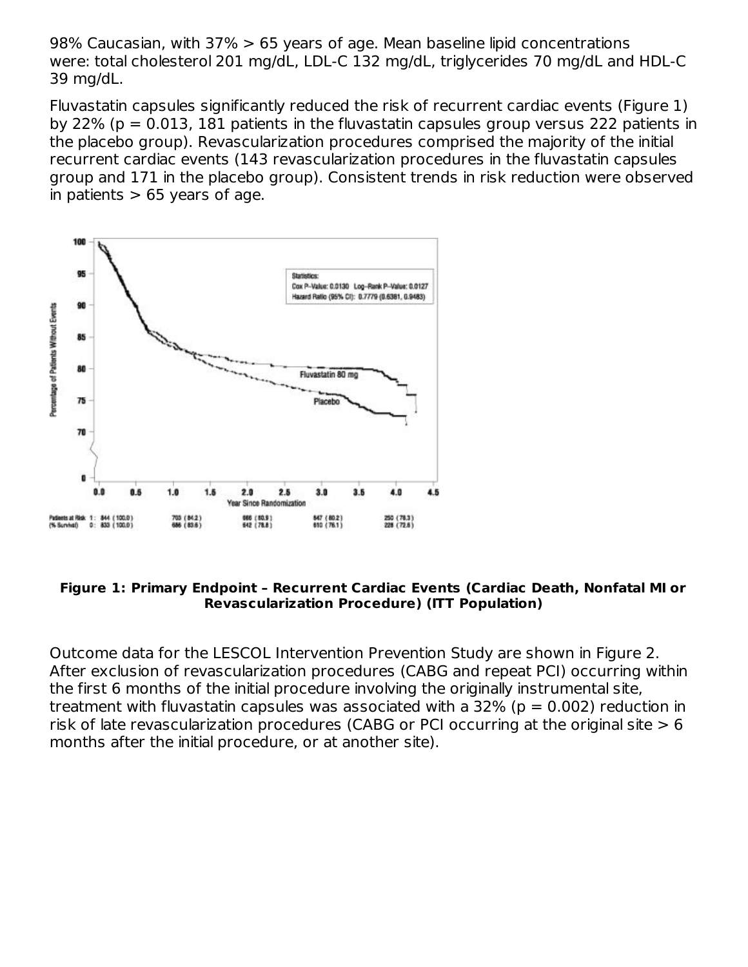98% Caucasian, with 37% > 65 years of age. Mean baseline lipid concentrations were: total cholesterol 201 mg/dL, LDL-C 132 mg/dL, triglycerides 70 mg/dL and HDL-C 39 mg/dL.

Fluvastatin capsules significantly reduced the risk of recurrent cardiac events (Figure 1) by 22% ( $p = 0.013$ , 181 patients in the fluvastatin capsules group versus 222 patients in the placebo group). Revascularization procedures comprised the majority of the initial recurrent cardiac events (143 revascularization procedures in the fluvastatin capsules group and 171 in the placebo group). Consistent trends in risk reduction were observed in patients  $> 65$  years of age.



#### **Figure 1: Primary Endpoint – Recurrent Cardiac Events (Cardiac Death, Nonfatal MI or Revascularization Procedure) (ITT Population)**

Outcome data for the LESCOL Intervention Prevention Study are shown in Figure 2. After exclusion of revascularization procedures (CABG and repeat PCI) occurring within the first 6 months of the initial procedure involving the originally instrumental site, treatment with fluvastatin capsules was associated with a  $32\%$  (p = 0.002) reduction in risk of late revascularization procedures (CABG or PCI occurring at the original site  $> 6$ months after the initial procedure, or at another site).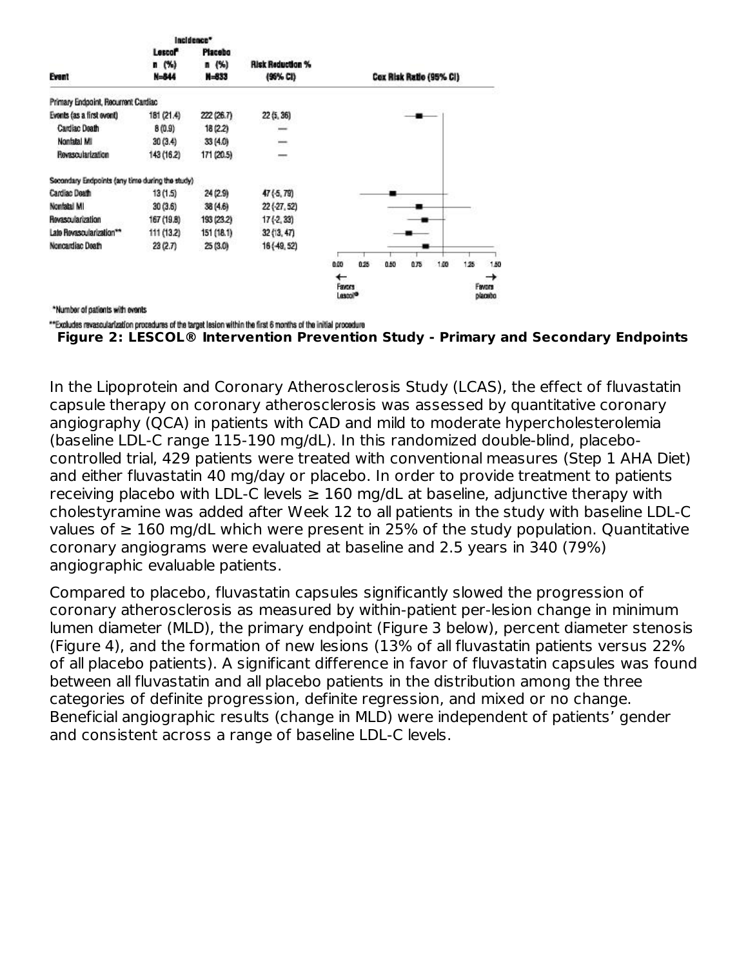|                                                 |                     | Incidence* |                         |                     |      |                         |      |      |     |         |
|-------------------------------------------------|---------------------|------------|-------------------------|---------------------|------|-------------------------|------|------|-----|---------|
|                                                 | Lescol <sup>*</sup> | Placebo    |                         |                     |      |                         |      |      |     |         |
|                                                 | n (% )              | n(%)       | <b>Risk Reduction %</b> |                     |      |                         |      |      |     |         |
| Event                                           | N=844               | N=833      | (96% CI)                |                     |      | Cox Risk Ratio (95% CI) |      |      |     |         |
| Primary Endpoint, Recurrent Cardiac             |                     |            |                         |                     |      |                         |      |      |     |         |
| Evonts (as a first ovont)                       | 181 (21.4)          | 222 (26.7) | 22 (5, 36)              |                     |      |                         |      |      |     |         |
| Cardiac Death                                   | 8(0.9)              | 18 (2.2)   | -                       |                     |      |                         |      |      |     |         |
| Nonfatal MI                                     | 30(3.4)             | 33 (4.0)   | -                       |                     |      |                         |      |      |     |         |
| <b>Revascularization</b>                        | 143 (16.2)          | 171 (20.5) | $-$                     |                     |      |                         |      |      |     |         |
| Secondary Endpoints (any time during the study) |                     |            |                         |                     |      |                         |      |      |     |         |
| Cardiac Death                                   | 13 (1.5)            | 24 (2.9)   | 47(5, 79)               |                     |      |                         |      |      |     |         |
| Nonfatal MI                                     | 30(3.6)             | 38 (4.6)   | $22( -27, 52)$          |                     |      |                         |      |      |     |         |
| Revascularization                               | 167 (19.8)          | 193 (23.2) | $17( -2, 33)$           |                     |      |                         |      |      |     |         |
| Late Revascularization**                        | 111 (13.2)          | 151 (18.1) | 32(13, 47)              |                     |      |                         |      |      |     |         |
| Noncardiac Death                                | 23(2.7)             | 25 (3.0)   | 16 (-49, 52)            |                     |      |                         |      |      |     |         |
|                                                 |                     |            |                         | 0.00                | 0.25 | 0.50                    | 0.75 | 1.00 | 125 | 1.50    |
|                                                 |                     |            |                         | ←                   |      |                         |      |      |     | →       |
|                                                 |                     |            |                         | Favors              |      |                         |      |      |     | Favors  |
|                                                 |                     |            |                         | Lasco <sup>10</sup> |      |                         |      |      |     | placebo |
| *Number of patients with events                 |                     |            |                         |                     |      |                         |      |      |     |         |

\*\*Excludes revascularization procedures of the target lesion within the first 6 months of the initial procedure

```
Figure 2: LESCOL® Intervention Prevention Study - Primary and Secondary Endpoints
```
In the Lipoprotein and Coronary Atherosclerosis Study (LCAS), the effect of fluvastatin capsule therapy on coronary atherosclerosis was assessed by quantitative coronary angiography (QCA) in patients with CAD and mild to moderate hypercholesterolemia (baseline LDL-C range 115-190 mg/dL). In this randomized double-blind, placebocontrolled trial, 429 patients were treated with conventional measures (Step 1 AHA Diet) and either fluvastatin 40 mg/day or placebo. In order to provide treatment to patients receiving placebo with LDL-C levels  $\geq 160$  mg/dL at baseline, adjunctive therapy with cholestyramine was added after Week 12 to all patients in the study with baseline LDL-C values of  $≥ 160$  mg/dL which were present in 25% of the study population. Quantitative coronary angiograms were evaluated at baseline and 2.5 years in 340 (79%) angiographic evaluable patients.

Compared to placebo, fluvastatin capsules significantly slowed the progression of coronary atherosclerosis as measured by within-patient per-lesion change in minimum lumen diameter (MLD), the primary endpoint (Figure 3 below), percent diameter stenosis (Figure 4), and the formation of new lesions (13% of all fluvastatin patients versus 22% of all placebo patients). A significant difference in favor of fluvastatin capsules was found between all fluvastatin and all placebo patients in the distribution among the three categories of definite progression, definite regression, and mixed or no change. Beneficial angiographic results (change in MLD) were independent of patients' gender and consistent across a range of baseline LDL-C levels.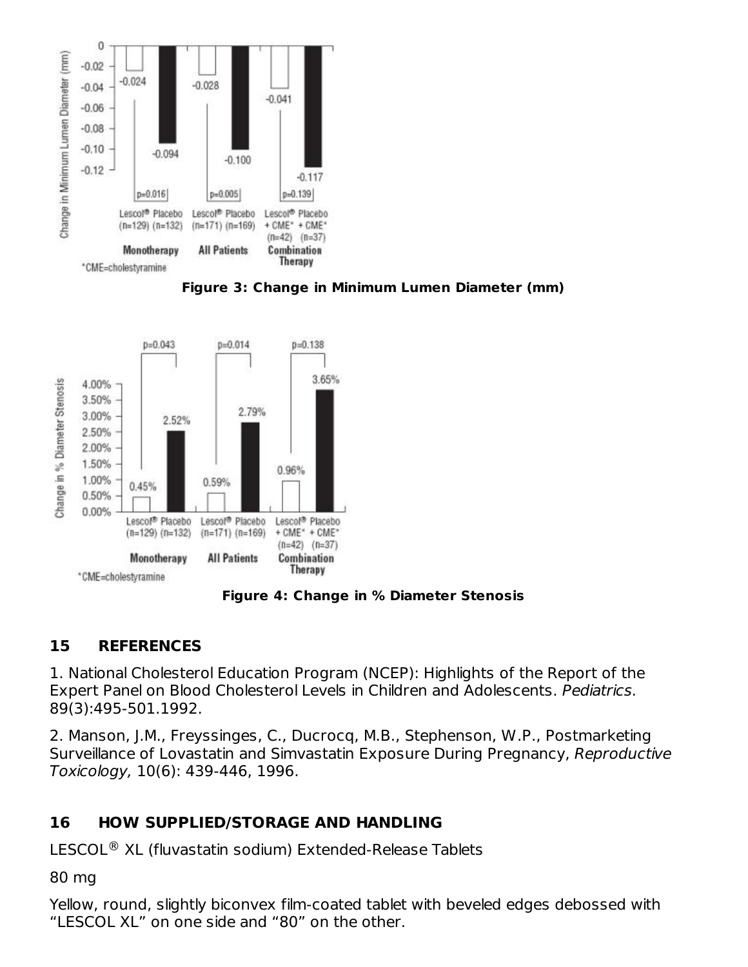





**Figure 4: Change in % Diameter Stenosis**

# **15 REFERENCES**

1. National Cholesterol Education Program (NCEP): Highlights of the Report of the Expert Panel on Blood Cholesterol Levels in Children and Adolescents. Pediatrics. 89(3):495-501.1992.

2. Manson, J.M., Freyssinges, C., Ducrocq, M.B., Stephenson, W.P., Postmarketing Surveillance of Lovastatin and Simvastatin Exposure During Pregnancy, Reproductive Toxicology, 10(6): 439-446, 1996.

## **16 HOW SUPPLIED/STORAGE AND HANDLING**

 $LESCOL<sup>®</sup>$  XL (fluvastatin sodium) Extended-Release Tablets

80 mg

Yellow, round, slightly biconvex film-coated tablet with beveled edges debossed with "LESCOL XL" on one side and "80" on the other.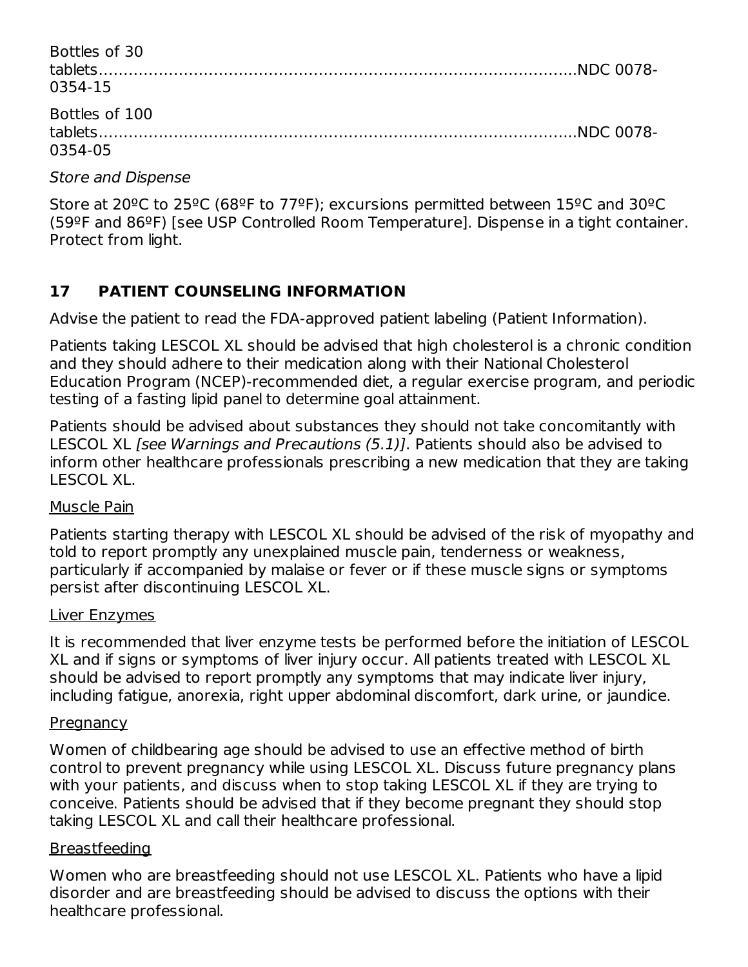| Bottles of 30<br>0354-15  |  |
|---------------------------|--|
| Bottles of 100<br>0354-05 |  |

Store and Dispense

Store at 20ºC to 25ºC (68ºF to 77ºF); excursions permitted between 15ºC and 30ºC (59ºF and 86ºF) [see USP Controlled Room Temperature]. Dispense in a tight container. Protect from light.

# **17 PATIENT COUNSELING INFORMATION**

Advise the patient to read the FDA-approved patient labeling (Patient Information).

Patients taking LESCOL XL should be advised that high cholesterol is a chronic condition and they should adhere to their medication along with their National Cholesterol Education Program (NCEP)-recommended diet, a regular exercise program, and periodic testing of a fasting lipid panel to determine goal attainment.

Patients should be advised about substances they should not take concomitantly with LESCOL XL [see Warnings and Precautions (5.1)]. Patients should also be advised to inform other healthcare professionals prescribing a new medication that they are taking LESCOL XL.

#### Muscle Pain

Patients starting therapy with LESCOL XL should be advised of the risk of myopathy and told to report promptly any unexplained muscle pain, tenderness or weakness, particularly if accompanied by malaise or fever or if these muscle signs or symptoms persist after discontinuing LESCOL XL.

#### Liver Enzymes

It is recommended that liver enzyme tests be performed before the initiation of LESCOL XL and if signs or symptoms of liver injury occur. All patients treated with LESCOL XL should be advised to report promptly any symptoms that may indicate liver injury, including fatigue, anorexia, right upper abdominal discomfort, dark urine, or jaundice.

#### **Pregnancy**

Women of childbearing age should be advised to use an effective method of birth control to prevent pregnancy while using LESCOL XL. Discuss future pregnancy plans with your patients, and discuss when to stop taking LESCOL XL if they are trying to conceive. Patients should be advised that if they become pregnant they should stop taking LESCOL XL and call their healthcare professional.

#### Breastfeeding

Women who are breastfeeding should not use LESCOL XL. Patients who have a lipid disorder and are breastfeeding should be advised to discuss the options with their healthcare professional.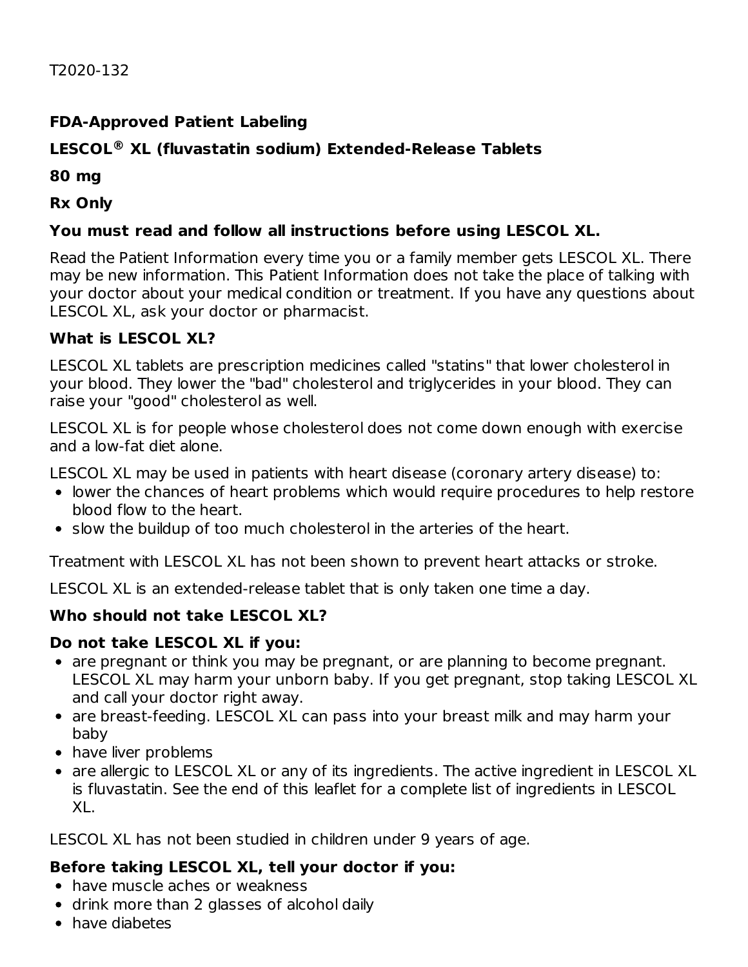#### **FDA-Approved Patient Labeling**

#### **LESCOL XL (fluvastatin sodium) Extended-Release Tablets ®**

**80 mg**

**Rx Only**

#### **You must read and follow all instructions before using LESCOL XL.**

Read the Patient Information every time you or a family member gets LESCOL XL. There may be new information. This Patient Information does not take the place of talking with your doctor about your medical condition or treatment. If you have any questions about LESCOL XL, ask your doctor or pharmacist.

#### **What is LESCOL XL?**

LESCOL XL tablets are prescription medicines called "statins" that lower cholesterol in your blood. They lower the "bad" cholesterol and triglycerides in your blood. They can raise your "good" cholesterol as well.

LESCOL XL is for people whose cholesterol does not come down enough with exercise and a low-fat diet alone.

LESCOL XL may be used in patients with heart disease (coronary artery disease) to:

- lower the chances of heart problems which would require procedures to help restore blood flow to the heart.
- $\bullet$  slow the buildup of too much cholesterol in the arteries of the heart.

Treatment with LESCOL XL has not been shown to prevent heart attacks or stroke.

LESCOL XL is an extended-release tablet that is only taken one time a day.

#### **Who should not take LESCOL XL?**

#### **Do not take LESCOL XL if you:**

- are pregnant or think you may be pregnant, or are planning to become pregnant. LESCOL XL may harm your unborn baby. If you get pregnant, stop taking LESCOL XL and call your doctor right away.
- are breast-feeding. LESCOL XL can pass into your breast milk and may harm your baby
- have liver problems
- are allergic to LESCOL XL or any of its ingredients. The active ingredient in LESCOL XL is fluvastatin. See the end of this leaflet for a complete list of ingredients in LESCOL XL.

LESCOL XL has not been studied in children under 9 years of age.

## **Before taking LESCOL XL, tell your doctor if you:**

- have muscle aches or weakness
- drink more than 2 glasses of alcohol daily
- have diabetes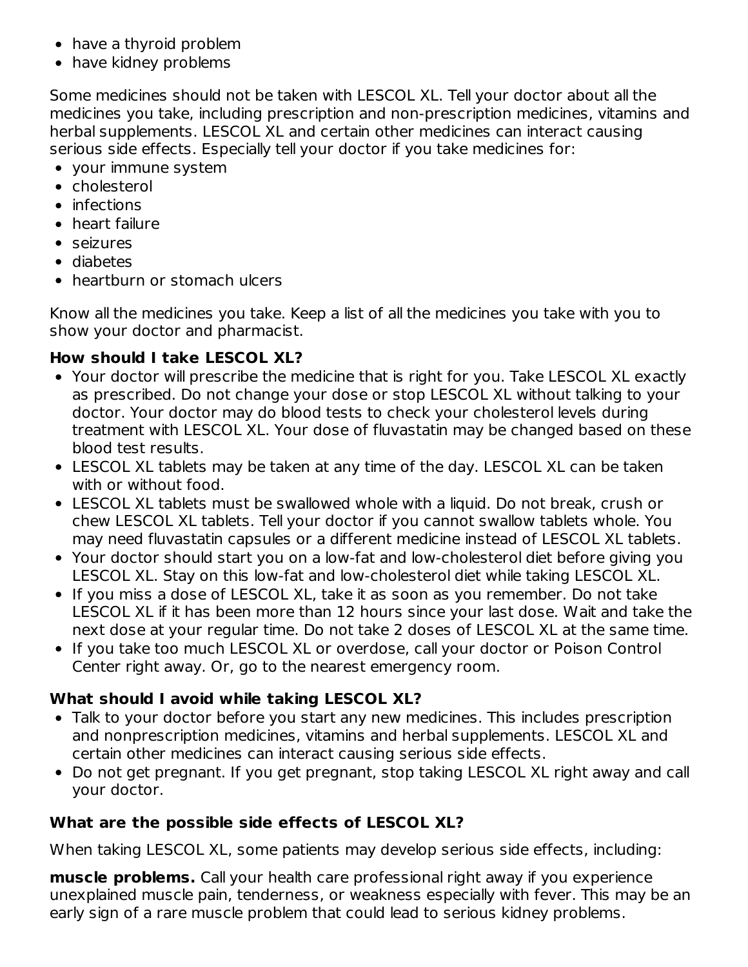- have a thyroid problem
- have kidney problems

Some medicines should not be taken with LESCOL XL. Tell your doctor about all the medicines you take, including prescription and non-prescription medicines, vitamins and herbal supplements. LESCOL XL and certain other medicines can interact causing serious side effects. Especially tell your doctor if you take medicines for:

- your immune system
- cholesterol
- infections
- heart failure
- seizures
- diabetes
- heartburn or stomach ulcers

Know all the medicines you take. Keep a list of all the medicines you take with you to show your doctor and pharmacist.

#### **How should I take LESCOL XL?**

- Your doctor will prescribe the medicine that is right for you. Take LESCOL XL exactly as prescribed. Do not change your dose or stop LESCOL XL without talking to your doctor. Your doctor may do blood tests to check your cholesterol levels during treatment with LESCOL XL. Your dose of fluvastatin may be changed based on these blood test results.
- LESCOL XL tablets may be taken at any time of the day. LESCOL XL can be taken with or without food.
- LESCOL XL tablets must be swallowed whole with a liquid. Do not break, crush or chew LESCOL XL tablets. Tell your doctor if you cannot swallow tablets whole. You may need fluvastatin capsules or a different medicine instead of LESCOL XL tablets.
- Your doctor should start you on a low-fat and low-cholesterol diet before giving you LESCOL XL. Stay on this low-fat and low-cholesterol diet while taking LESCOL XL.
- If you miss a dose of LESCOL XL, take it as soon as you remember. Do not take LESCOL XL if it has been more than 12 hours since your last dose. Wait and take the next dose at your regular time. Do not take 2 doses of LESCOL XL at the same time.
- If you take too much LESCOL XL or overdose, call your doctor or Poison Control Center right away. Or, go to the nearest emergency room.

#### **What should I avoid while taking LESCOL XL?**

- Talk to your doctor before you start any new medicines. This includes prescription and nonprescription medicines, vitamins and herbal supplements. LESCOL XL and certain other medicines can interact causing serious side effects.
- Do not get pregnant. If you get pregnant, stop taking LESCOL XL right away and call your doctor.

#### **What are the possible side effects of LESCOL XL?**

When taking LESCOL XL, some patients may develop serious side effects, including:

**muscle problems.** Call your health care professional right away if you experience unexplained muscle pain, tenderness, or weakness especially with fever. This may be an early sign of a rare muscle problem that could lead to serious kidney problems.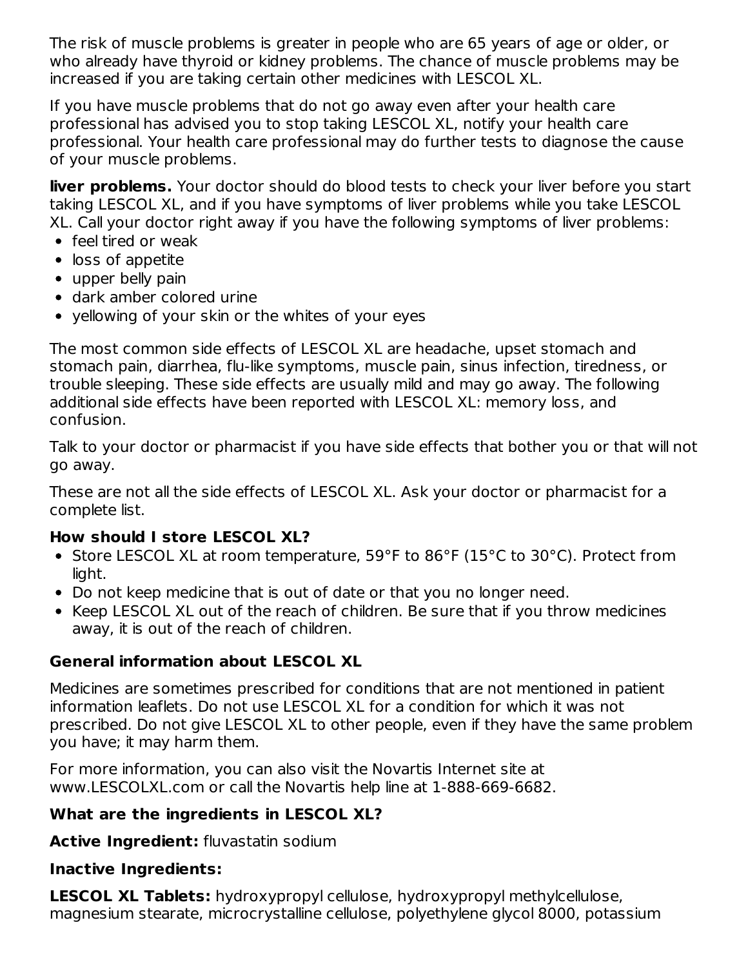The risk of muscle problems is greater in people who are 65 years of age or older, or who already have thyroid or kidney problems. The chance of muscle problems may be increased if you are taking certain other medicines with LESCOL XL.

If you have muscle problems that do not go away even after your health care professional has advised you to stop taking LESCOL XL, notify your health care professional. Your health care professional may do further tests to diagnose the cause of your muscle problems.

**liver problems.** Your doctor should do blood tests to check your liver before you start taking LESCOL XL, and if you have symptoms of liver problems while you take LESCOL XL. Call your doctor right away if you have the following symptoms of liver problems:

- feel tired or weak
- loss of appetite
- upper belly pain
- dark amber colored urine
- vellowing of your skin or the whites of your eyes

The most common side effects of LESCOL XL are headache, upset stomach and stomach pain, diarrhea, flu-like symptoms, muscle pain, sinus infection, tiredness, or trouble sleeping. These side effects are usually mild and may go away. The following additional side effects have been reported with LESCOL XL: memory loss, and confusion.

Talk to your doctor or pharmacist if you have side effects that bother you or that will not go away.

These are not all the side effects of LESCOL XL. Ask your doctor or pharmacist for a complete list.

#### **How should I store LESCOL XL?**

- Store LESCOL XL at room temperature, 59°F to 86°F (15°C to 30°C). Protect from light.
- Do not keep medicine that is out of date or that you no longer need.
- Keep LESCOL XL out of the reach of children. Be sure that if you throw medicines away, it is out of the reach of children.

#### **General information about LESCOL XL**

Medicines are sometimes prescribed for conditions that are not mentioned in patient information leaflets. Do not use LESCOL XL for a condition for which it was not prescribed. Do not give LESCOL XL to other people, even if they have the same problem you have; it may harm them.

For more information, you can also visit the Novartis Internet site at www.LESCOLXL.com or call the Novartis help line at 1-888-669-6682.

#### **What are the ingredients in LESCOL XL?**

**Active Ingredient:** fluvastatin sodium

#### **Inactive Ingredients:**

**LESCOL XL Tablets:** hydroxypropyl cellulose, hydroxypropyl methylcellulose, magnesium stearate, microcrystalline cellulose, polyethylene glycol 8000, potassium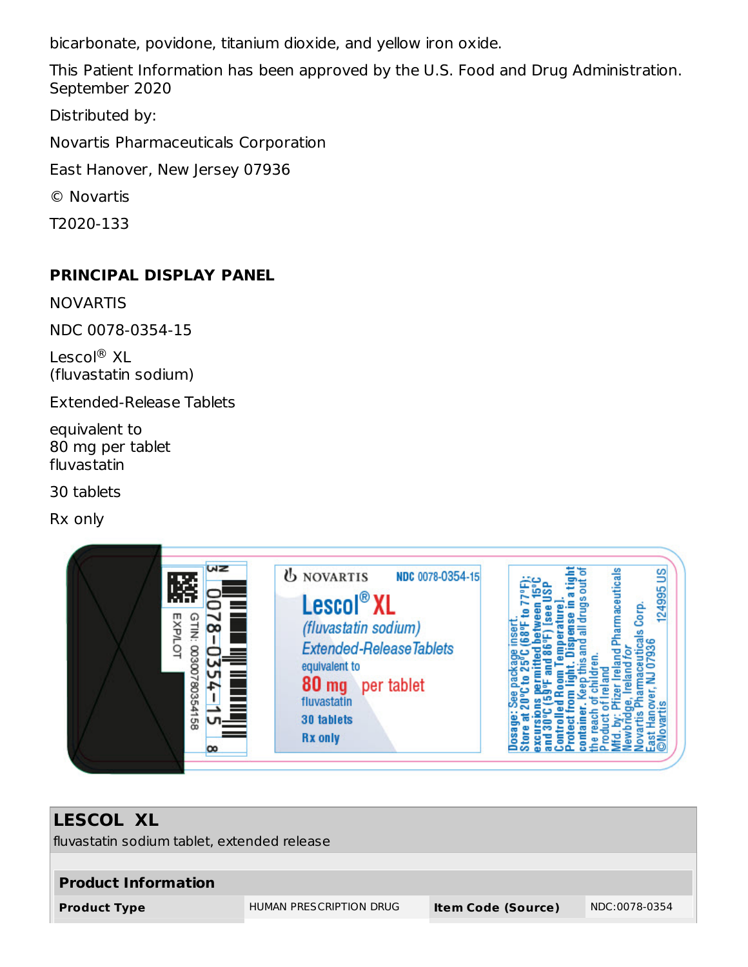bicarbonate, povidone, titanium dioxide, and yellow iron oxide.

This Patient Information has been approved by the U.S. Food and Drug Administration. September 2020

Distributed by:

Novartis Pharmaceuticals Corporation

East Hanover, New Jersey 07936

© Novartis

T2020-133

#### **PRINCIPAL DISPLAY PANEL**

NOVARTIS

NDC 0078-0354-15

Lescol® XL (fluvastatin sodium)

Extended-Release Tablets

equivalent to 80 mg per tablet fluvastatin

30 tablets

Rx only



# **LESCOL XL** fluvastatin sodium tablet, extended release **Product Information Product Type** HUMAN PRESCRIPTION DRUG **Item Code (Source)** NDC:0078-0354